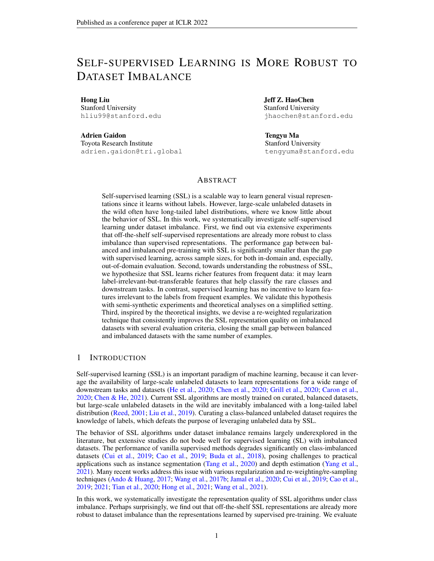# SELF-SUPERVISED LEARNING IS MORE ROBUST TO DATASET IMBALANCE

Hong Liu Stanford University hliu99@stanford.edu

Adrien Gaidon Toyota Research Institute adrien.gaidon@tri.global Jeff Z. HaoChen Stanford University jhaochen@stanford.edu

Tengyu Ma Stanford University tengyuma@stanford.edu

## ABSTRACT

Self-supervised learning (SSL) is a scalable way to learn general visual representations since it learns without labels. However, large-scale unlabeled datasets in the wild often have long-tailed label distributions, where we know little about the behavior of SSL. In this work, we systematically investigate self-supervised learning under dataset imbalance. First, we find out via extensive experiments that off-the-shelf self-supervised representations are already more robust to class imbalance than supervised representations. The performance gap between balanced and imbalanced pre-training with SSL is significantly smaller than the gap with supervised learning, across sample sizes, for both in-domain and, especially, out-of-domain evaluation. Second, towards understanding the robustness of SSL, we hypothesize that SSL learns richer features from frequent data: it may learn label-irrelevant-but-transferable features that help classify the rare classes and downstream tasks. In contrast, supervised learning has no incentive to learn features irrelevant to the labels from frequent examples. We validate this hypothesis with semi-synthetic experiments and theoretical analyses on a simplified setting. Third, inspired by the theoretical insights, we devise a re-weighted regularization technique that consistently improves the SSL representation quality on imbalanced datasets with several evaluation criteria, closing the small gap between balanced and imbalanced datasets with the same number of examples.

## 1 INTRODUCTION

Self-supervised learning (SSL) is an important paradigm of machine learning, because it can leverage the availability of large-scale unlabeled datasets to learn representations for a wide range of downstream tasks and datasets [\(He et al.,](#page-11-0) [2020;](#page-11-0) [Chen et al.,](#page-10-0) [2020;](#page-10-0) [Grill et al.,](#page-10-1) [2020;](#page-10-1) [Caron et al.,](#page-9-0) [2020;](#page-9-0) [Chen & He,](#page-10-2) [2021\)](#page-10-2). Current SSL algorithms are mostly trained on curated, balanced datasets, but large-scale unlabeled datasets in the wild are inevitably imbalanced with a long-tailed label distribution [\(Reed,](#page-12-0) [2001;](#page-12-0) [Liu et al.,](#page-12-1) [2019\)](#page-12-1). Curating a class-balanced unlabeled dataset requires the knowledge of labels, which defeats the purpose of leveraging unlabeled data by SSL.

The behavior of SSL algorithms under dataset imbalance remains largely underexplored in the literature, but extensive studies do not bode well for supervised learning (SL) with imbalanced datasets. The performance of vanilla supervised methods degrades significantly on class-imbalanced datasets [\(Cui et al.,](#page-10-3) [2019;](#page-10-3) [Cao et al.,](#page-9-1) [2019;](#page-9-1) [Buda et al.,](#page-9-2) [2018\)](#page-9-2), posing challenges to practical applications such as instance segmentation [\(Tang et al.,](#page-12-2) [2020\)](#page-12-2) and depth estimation [\(Yang et al.,](#page-13-0) [2021\)](#page-13-0). Many recent works address this issue with various regularization and re-weighting/re-sampling techniques [\(Ando & Huang,](#page-9-3) [2017;](#page-9-3) [Wang et al.,](#page-13-1) [2017b;](#page-13-1) [Jamal et al.,](#page-11-1) [2020;](#page-11-1) [Cui et al.,](#page-10-3) [2019;](#page-10-3) [Cao et al.,](#page-9-1) [2019;](#page-9-1) [2021;](#page-9-4) [Tian et al.,](#page-12-3) [2020;](#page-12-3) [Hong et al.,](#page-11-2) [2021;](#page-11-2) [Wang et al.,](#page-13-2) [2021\)](#page-13-2).

In this work, we systematically investigate the representation quality of SSL algorithms under class imbalance. Perhaps surprisingly, we find out that off-the-shelf SSL representations are already more robust to dataset imbalance than the representations learned by supervised pre-training. We evaluate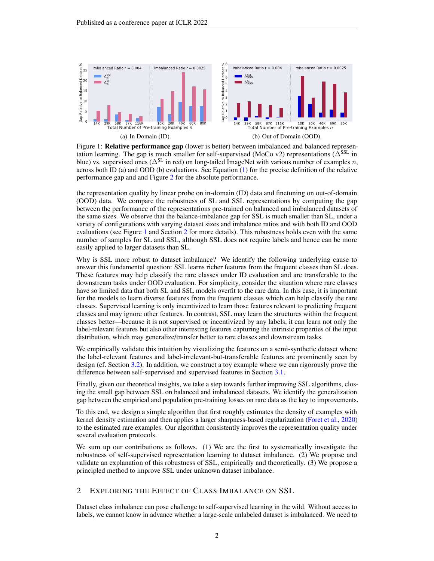

<span id="page-1-0"></span>Figure 1: **Relative performance gap** (lower is better) between imbalanced and balanced representation learning. The gap is much smaller for self-supervised (MoCo v2) representations ( $\Delta^{\text{SSL}}$  in blue) vs. supervised ones ( $\Delta^{SL}$  in red) on long-tailed ImageNet with various number of examples n, across both ID (a) and OOD (b) evaluations. See Equation [\(1\)](#page-3-0) for the precise definition of the relative performance gap and and Figure [2](#page-3-1) for the absolute performance.

the representation quality by linear probe on in-domain (ID) data and finetuning on out-of-domain (OOD) data. We compare the robustness of SL and SSL representations by computing the gap between the performance of the representations pre-trained on balanced and imbalanced datasets of the same sizes. We observe that the balance-imbalance gap for SSL is much smaller than SL, under a variety of configurations with varying dataset sizes and imbalance ratios and with both ID and OOD evaluations (see Figure [1](#page-1-0) and Section [2](#page-1-1) for more details). This robustness holds even with the same number of samples for SL and SSL, although SSL does not require labels and hence can be more easily applied to larger datasets than SL.

Why is SSL more robust to dataset imbalance? We identify the following underlying cause to answer this fundamental question: SSL learns richer features from the frequent classes than SL does. These features may help classify the rare classes under ID evaluation and are transferable to the downstream tasks under OOD evaluation. For simplicity, consider the situation where rare classes have so limited data that both SL and SSL models overfit to the rare data. In this case, it is important for the models to learn diverse features from the frequent classes which can help classify the rare classes. Supervised learning is only incentivized to learn those features relevant to predicting frequent classes and may ignore other features. In contrast, SSL may learn the structures within the frequent classes better—because it is not supervised or incentivized by any labels, it can learn not only the label-relevant features but also other interesting features capturing the intrinsic properties of the input distribution, which may generalize/transfer better to rare classes and downstream tasks.

We empirically validate this intuition by visualizing the features on a semi-synthetic dataset where the label-relevant features and label-irrelevant-but-transferable features are prominently seen by design (cf. Section [3.2\)](#page-5-0). In addition, we construct a toy example where we can rigorously prove the difference between self-supervised and supervised features in Section [3.1.](#page-4-0)

Finally, given our theoretical insights, we take a step towards further improving SSL algorithms, closing the small gap between SSL on balanced and imbalanced datasets. We identify the generalization gap between the empirical and population pre-training losses on rare data as the key to improvements.

To this end, we design a simple algorithm that first roughly estimates the density of examples with kernel density estimation and then applies a larger sharpness-based regularization [\(Foret et al.,](#page-10-4) [2020\)](#page-10-4) to the estimated rare examples. Our algorithm consistently improves the representation quality under several evaluation protocols.

We sum up our contributions as follows. (1) We are the first to systematically investigate the robustness of self-supervised representation learning to dataset imbalance. (2) We propose and validate an explanation of this robustness of SSL, empirically and theoretically. (3) We propose a principled method to improve SSL under unknown dataset imbalance.

# <span id="page-1-1"></span>2 EXPLORING THE EFFECT OF CLASS IMBALANCE ON SSL

Dataset class imbalance can pose challenge to self-supervised learning in the wild. Without access to labels, we cannot know in advance whether a large-scale unlabeled dataset is imbalanced. We need to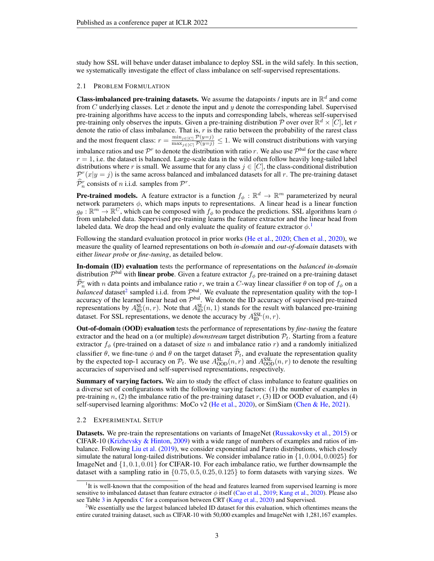study how SSL will behave under dataset imbalance to deploy SSL in the wild safely. In this section, we systematically investigate the effect of class imbalance on self-supervised representations.

#### 2.1 PROBLEM FORMULATION

**Class-imbalanced pre-training datasets.** We assume the datapoints / inputs are in  $\mathbb{R}^d$  and come from C underlying classes. Let  $x$  denote the input and  $y$  denote the corresponding label. Supervised pre-training algorithms have access to the inputs and corresponding labels, whereas self-supervised pre-training only observes the inputs. Given a pre-training distribution P over over  $\mathbb{R}^d \times [C]$ , let r denote the ratio of class imbalance. That is,  $r$  is the ratio between the probability of the rarest class and the most frequent class:  $r = \frac{\min_{j \in [C]} \mathcal{P}(y=j)}{\max_{j \in [C]} \mathcal{P}(y=j)} \leq 1$ . We will construct distributions with varying imbalance ratios and use  $\mathcal{P}^r$  to denote the distribution with ratio r. We also use  $\mathcal{P}^{bal}$  for the case where  $r = 1$ , i.e. the dataset is balanced. Large-scale data in the wild often follow heavily long-tailed label distributions where r is small. We assume that for any class  $j \in [C]$ , the class-conditional distribution  $\mathcal{P}^{r}(x|y=j)$  is the same across balanced and imbalanced datasets for all r. The pre-training dataset  $\widehat{\mathcal{P}}_n^r$  consists of *n* i.i.d. samples from  $\mathcal{P}^r$ .

**Pre-trained models.** A feature extractor is a function  $f_{\phi}: \mathbb{R}^d \to \mathbb{R}^m$  parameterized by neural network parameters  $\phi$ , which maps inputs to representations. A linear head is a linear function  $g_\theta: \mathbb{R}^m \to \mathbb{R}^C$ , which can be composed with  $f_\phi$  to produce the predictions. SSL algorithms learn  $\phi$ from unlabeled data. Supervised pre-training learns the feature extractor and the linear head from labeled data. We drop the head and only evaluate the quality of feature extractor  $\phi$ .<sup>[1](#page-2-0)</sup>

Following the standard evaluation protocol in prior works [\(He et al.,](#page-11-0) [2020;](#page-11-0) [Chen et al.,](#page-10-0) [2020\)](#page-10-0), we measure the quality of learned representations on both *in-domain* and *out-of-domain* datasets with either *linear probe* or *fine-tuning*, as detailed below.

In-domain (ID) evaluation tests the performance of representations on the *balanced in-domain* distribution  $\mathcal{P}^{bal}$  with linear probe. Given a feature extractor  $f_\phi$  pre-trained on a pre-training dataset  $\widehat{P}_b^r$  with n data points and imbalance ratio r, we train a C-way linear classifier  $\theta$  on top of  $f_\phi$  on a *balanced* dataset<sup>[2](#page-2-1)</sup> sampled i.i.d. from  $\mathcal{P}^{bal}$ . We evaluate the representation quality with the top-1 accuracy of the learned linear head on  $\mathcal{P}^{bal}$ . We denote the ID accuracy of supervised pre-trained representations by  $A_{ID}^{SL}(n, r)$ . Note that  $A_{ID}^{SL}(n, 1)$  stands for the result with balanced pre-training dataset. For SSL representations, we denote the accuracy by  $A_{ID}^{SSL}(n, r)$ .

Out-of-domain (OOD) evaluation tests the performance of representations by *fine-tuning* the feature extractor and the head on a (or multiple) *downstream* target distribution  $P_t$ . Starting from a feature extractor  $f_{\phi}$  (pre-trained on a dataset of size n and imbalance ratio r) and a randomly initialized classifier  $\theta$ , we fine-tune  $\phi$  and  $\theta$  on the target dataset  $\mathcal{P}_t$ , and evaluate the representation quality by the expected top-1 accuracy on  $\mathcal{P}_t$ . We use  $A_{\text{OOD}}^{\text{SL}}(n, r)$  and  $A_{\text{OOD}}^{\text{SSL}}(n, r)$  to den accuracies of supervised and self-supervised representations, respectively.

Summary of varying factors. We aim to study the effect of class imbalance to feature qualities on a diverse set of configurations with the following varying factors: (1) the number of examples in pre-training n, (2) the imbalance ratio of the pre-training dataset  $r$ , (3) ID or OOD evaluation, and (4) self-supervised learning algorithms: MoCo v2 [\(He et al.,](#page-11-0) [2020\)](#page-11-0), or SimSiam [\(Chen & He,](#page-10-2) [2021\)](#page-10-2).

#### 2.2 EXPERIMENTAL SETUP

Datasets. We pre-train the representations on variants of ImageNet [\(Russakovsky et al.,](#page-12-4) [2015\)](#page-12-4) or CIFAR-10 [\(Krizhevsky & Hinton,](#page-11-3) [2009\)](#page-11-3) with a wide range of numbers of examples and ratios of imbalance. Following [Liu et al.](#page-12-1) [\(2019\)](#page-12-1), we consider exponential and Pareto distributions, which closely simulate the natural long-tailed distributions. We consider imbalance ratio in  $\{1, 0.004, 0.0025\}$  for ImageNet and  $\{1, 0.1, 0.01\}$  for CIFAR-10. For each imbalance ratio, we further downsample the dataset with a sampling ratio in  $\{0.75, 0.5, 0.25, 0.125\}$  to form datasets with varying sizes. We

<span id="page-2-0"></span><sup>&</sup>lt;sup>1</sup>It is well-known that the composition of the head and features learned from supervised learning is more sensitive to imbalanced dataset than feature extractor  $\phi$  itself [\(Cao et al.,](#page-9-1) [2019;](#page-9-1) [Kang et al.,](#page-11-4) [2020\)](#page-11-4). Please also see Table [3](#page-16-0) in Appendix [C](#page-15-0) for a comparison between CRT [\(Kang et al.,](#page-11-4) [2020\)](#page-11-4) and Supervised.

<span id="page-2-1"></span><sup>&</sup>lt;sup>2</sup>We essentially use the largest balanced labeled ID dataset for this evaluation, which oftentimes means the entire curated training dataset, such as CIFAR-10 with 50,000 examples and ImageNet with 1,281,167 examples.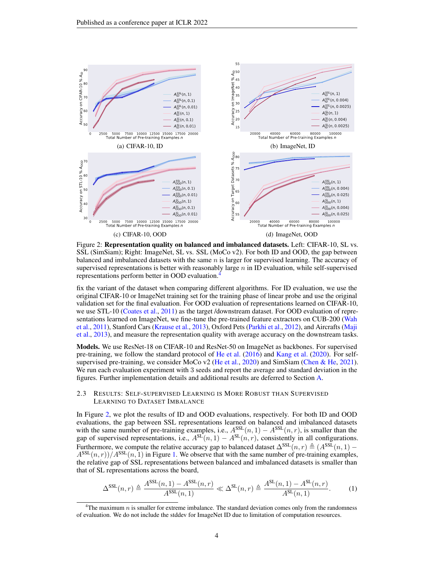

<span id="page-3-1"></span>Figure 2: Representation quality on balanced and imbalanced datasets. Left: CIFAR-10, SL vs. SSL (SimSiam); Right: ImageNet, SL vs. SSL (MoCo v2). For both ID and OOD, the gap between balanced and imbalanced datasets with the same  $n$  is larger for supervised learning. The accuracy of supervised representations is better with reasonably large  $n$  in ID evaluation, while self-supervised representations perform better in OOD evaluation.[4](#page-3-2)

fix the variant of the dataset when comparing different algorithms. For ID evaluation, we use the original CIFAR-10 or ImageNet training set for the training phase of linear probe and use the original validation set for the final evaluation. For OOD evaluation of representations learned on CIFAR-10, we use STL-10 [\(Coates et al.,](#page-10-5) [2011\)](#page-10-5) as the target /downstream dataset. For OOD evaluation of representations learned on ImageNet, we fine-tune the pre-trained feature extractors on CUB-200 [\(Wah](#page-12-5) [et al.,](#page-12-5) [2011\)](#page-12-5), Stanford Cars [\(Krause et al.,](#page-11-5) [2013\)](#page-11-5), Oxford Pets [\(Parkhi et al.,](#page-12-6) [2012\)](#page-12-6), and Aircrafts [\(Maji](#page-12-7) [et al.,](#page-12-7) [2013\)](#page-12-7), and measure the representation quality with average accuracy on the downstream tasks.

Models. We use ResNet-18 on CIFAR-10 and ResNet-50 on ImageNet as backbones. For supervised pre-training, we follow the standard protocol of [He et al.](#page-11-6) [\(2016\)](#page-11-6) and [Kang et al.](#page-11-4) [\(2020\)](#page-11-4). For self-supervised pre-training, we consider MoCo v2 [\(He et al.,](#page-11-0) [2020\)](#page-11-0) and SimSiam [\(Chen & He,](#page-10-2) [2021\)](#page-10-2). We run each evaluation experiment with 3 seeds and report the average and standard deviation in the figures. Further implementation details and additional results are deferred to Section [A.](#page-14-0)

#### 2.3 RESULTS: SELF-SUPERVISED LEARNING IS MORE ROBUST THAN SUPERVISED LEARNING TO DATASET IMBALANCE

In Figure [2,](#page-3-1) we plot the results of ID and OOD evaluations, respectively. For both ID and OOD evaluations, the gap between SSL representations learned on balanced and imbalanced datasets with the same number of pre-training examples, i.e.,  $A^{SSL}(n, 1) - A^{SSL}(n, r)$ , is smaller than the gap of supervised representations, i.e.,  $A^{SL}(n, 1) - A^{SL}(n, r)$ , consistently in all configurations. Furthermore, we compute the relative accuracy gap to balanced dataset  $\Delta^{SSL}(n, r) \triangleq (A^{SSL}(n, 1) A^{\text{SSL}}(n, r) / A^{\text{SSL}}(n, 1)$  in Figure [1.](#page-1-0) We observe that with the same number of pre-training examples, the relative gap of SSL representations between balanced and imbalanced datasets is smaller than that of SL representations across the board,

<span id="page-3-0"></span>
$$
\Delta^{\text{SSL}}(n,r) \triangleq \frac{A^{\text{SSL}}(n,1) - A^{\text{SSL}}(n,r)}{A^{\text{SSL}}(n,1)} \ll \Delta^{\text{SL}}(n,r) \triangleq \frac{A^{\text{SL}}(n,1) - A^{\text{SL}}(n,r)}{A^{\text{SL}}(n,1)}.\tag{1}
$$

<span id="page-3-2"></span><sup>&</sup>lt;sup>4</sup>The maximum  $n$  is smaller for extreme imbalance. The standard deviation comes only from the randomness of evaluation. We do not include the stddev for ImageNet ID due to limitation of computation resources.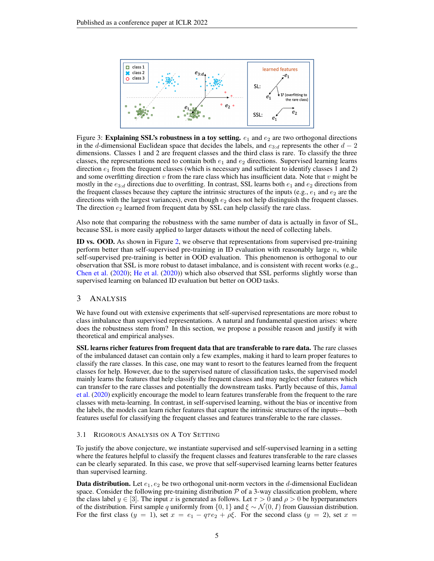

<span id="page-4-1"></span>Figure 3: **Explaining SSL's robustness in a toy setting.**  $e_1$  and  $e_2$  are two orthogonal directions in the d-dimensional Euclidean space that decides the labels, and  $e_{3:d}$  represents the other  $d-2$ dimensions. Classes 1 and 2 are frequent classes and the third class is rare. To classify the three classes, the representations need to contain both  $e_1$  and  $e_2$  directions. Supervised learning learns direction  $e_1$  from the frequent classes (which is necessary and sufficient to identify classes 1 and 2) and some overfitting direction  $v$  from the rare class which has insufficient data. Note that  $v$  might be mostly in the  $e_{3:d}$  directions due to overfitting. In contrast, SSL learns both  $e_1$  and  $e_2$  directions from the frequent classes because they capture the intrinsic structures of the inputs (e.g.,  $e_1$  and  $e_2$  are the directions with the largest variances), even though  $e_2$  does not help distinguish the frequent classes. The direction  $e_2$  learned from frequent data by SSL can help classify the rare class.

Also note that comparing the robustness with the same number of data is actually in favor of SL, because SSL is more easily applied to larger datasets without the need of collecting labels.

ID vs. OOD. As shown in Figure [2,](#page-3-1) we observe that representations from supervised pre-training perform better than self-supervised pre-training in ID evaluation with reasonably large  $n$ , while self-supervised pre-training is better in OOD evaluation. This phenomenon is orthogonal to our observation that SSL is more robust to dataset imbalance, and is consistent with recent works (e.g., [Chen et al.](#page-10-0) [\(2020\)](#page-10-0); [He et al.](#page-11-0) [\(2020\)](#page-11-0)) which also observed that SSL performs slightly worse than supervised learning on balanced ID evaluation but better on OOD tasks.

#### 3 ANALYSIS

We have found out with extensive experiments that self-supervised representations are more robust to class imbalance than supervised representations. A natural and fundamental question arises: where does the robustness stem from? In this section, we propose a possible reason and justify it with theoretical and empirical analyses.

SSL learns richer features from frequent data that are transferable to rare data. The rare classes of the imbalanced dataset can contain only a few examples, making it hard to learn proper features to classify the rare classes. In this case, one may want to resort to the features learned from the frequent classes for help. However, due to the supervised nature of classification tasks, the supervised model mainly learns the features that help classify the frequent classes and may neglect other features which can transfer to the rare classes and potentially the downstream tasks. Partly because of this, [Jamal](#page-11-1) [et al.](#page-11-1) [\(2020\)](#page-11-1) explicitly encourage the model to learn features transferable from the frequent to the rare classes with meta-learning. In contrast, in self-supervised learning, without the bias or incentive from the labels, the models can learn richer features that capture the intrinsic structures of the inputs—both features useful for classifying the frequent classes and features transferable to the rare classes.

#### <span id="page-4-0"></span>3.1 RIGOROUS ANALYSIS ON A TOY SETTING

To justify the above conjecture, we instantiate supervised and self-supervised learning in a setting where the features helpful to classify the frequent classes and features transferable to the rare classes can be clearly separated. In this case, we prove that self-supervised learning learns better features than supervised learning.

**Data distribution.** Let  $e_1, e_2$  be two orthogonal unit-norm vectors in the d-dimensional Euclidean space. Consider the following pre-training distribution  $P$  of a 3-way classification problem, where the class label  $y \in [3]$ . The input x is generated as follows. Let  $\tau > 0$  and  $\rho > 0$  be hyperparameters of the distribution. First sample q uniformly from {0, 1} and  $\xi \sim \mathcal{N}(0, I)$  from Gaussian distribution. For the first class  $(y = 1)$ , set  $x = e_1 - q\tau e_2 + \rho \xi$ . For the second class  $(y = 2)$ , set  $x =$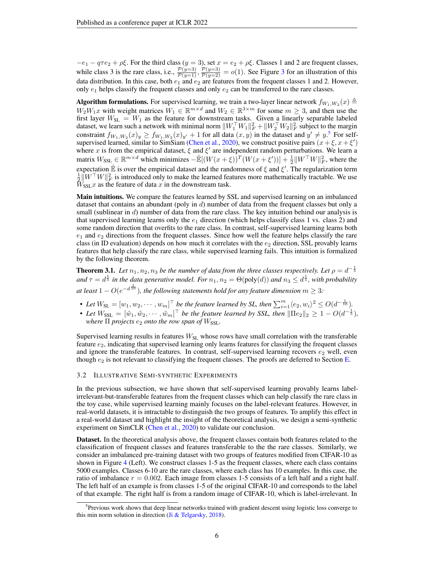$-e_1 - q\tau e_2 + \rho \xi$ . For the third class  $(y = 3)$ , set  $x = e_2 + \rho \xi$ . Classes 1 and 2 are frequent classes, while class [3](#page-4-1) is the rare class, i.e.,  $\frac{\mathcal{P}(y=3)}{\mathcal{P}(y=1)}$ ,  $\frac{\mathcal{P}(y=3)}{\mathcal{P}(y=2)} = o(1)$ . See Figure 3 for an illustration of this data distribution. In this case, both  $e_1$  and  $e_2$  are features from the frequent classes 1 and 2. However, only  $e_1$  helps classify the frequent classes and only  $e_2$  can be transferred to the rare classes.

**Algorithm formulations.** For supervised learning, we train a two-layer linear network  $f_{W_1,W_2}(x) \triangleq$  $W_2W_1x$  with weight matrices  $W_1 \in \mathbb{R}^{m \times d}$  and  $W_2 \in \mathbb{R}^{3 \times m}$  for some  $m \geq 3$ , and then use the first layer  $W_{SL} = W_1$  as the feature for downstream tasks. Given a linearly separable labeled dataset, we learn such a network with minimal norm  $\|W_1^\top W_1\|_F^2 + \|W_2^\top W_2\|_F^2$  subject to the margin constraint  $f_{W_1,W_2}(x)_y \ge f_{W_1,W_2}(x)_{y'} + 1$  for all data  $(x, y)$  in the dataset and  $y' \ne y$ .<sup>[5](#page-5-1)</sup> For self-supervised learned, similar to SimSiam [\(Chen et al.,](#page-10-0) [2020\)](#page-10-0), we construct positive pairs  $(x + \xi, x + \xi')$ where x is from the empirical dataset,  $\xi$  and  $\xi'$  are independent random perturbations. We learn a matrix  $W_{\text{SSL}} \in \mathbb{R}^{m \times d}$  which minimizes  $-\mathbb{E}[(W(x+\xi))^{T}(W(x+\xi'))] + \frac{1}{2}||W^{\top}W||_{F}^{2}$ , where the expectation  $\hat{\mathbb{E}}$  is over the empirical dataset and the randomness of  $\xi$  and  $\xi'$ . The regularization term  $\frac{1}{2}$   $\|\hat{W}^\top W\|_F^2$  is introduced only to make the learned features more mathematically tractable. We use  $W_{\text{SSI}}x$  as the feature of data x in the downstream task.

Main intuitions. We compare the features learned by SSL and supervised learning on an imbalanced dataset that contains an abundant (poly in  $d$ ) number of data from the frequent classes but only a small (sublinear in  $d$ ) number of data from the rare class. The key intuition behind our analysis is that supervised learning learns only the  $e_1$  direction (which helps classify class 1 vs. class 2) and some random direction that overfits to the rare class. In contrast, self-supervised learning learns both  $e_1$  and  $e_2$  directions from the frequent classes. Since how well the feature helps classify the rare class (in ID evaluation) depends on how much it correlates with the  $e_2$  direction, SSL provably learns features that help classify the rare class, while supervised learning fails. This intuition is formalized by the following theorem.

<span id="page-5-2"></span>**Theorem 3.1.** Let  $n_1, n_2, n_3$  be the number of data from the three classes respectively. Let  $\rho = d^{-\frac{1}{5}}$ and  $\tau = d^{\frac{1}{5}}$  in the data generative model. For  $n_1, n_2 = \Theta(\text{poly}(d))$  and  $n_3 \leq d^{\frac{1}{5}}$ , with probability at least  $1 - O(e^{-d\frac{1}{10}})$ , the following statements hold for any feature dimension  $m \geq 3$ :

- Let  $W_{SL} = [w_1, w_2, \cdots, w_m]^\top$  be the feature learned by SL, then  $\sum_{i=1}^m \langle e_2, w_i \rangle^2 \leq O(d^{-\frac{1}{10}})$ .
- Let  $W_{\text{SSL}} = [\tilde{w}_1, \tilde{w}_2, \cdots, \tilde{w}_m]^\top$  be the feature learned by SSL, then  $\|\Pi e_2\|_2 \geq 1 O(d^{-\frac{1}{5}})$ , *where*  $\Pi$  *projects*  $e_2$  *onto the row span of*  $W_{\text{SSL}}$ *.*

Supervised learning results in features  $W_{\rm SL}$  whose rows have small correlation with the transferable feature  $e_2$ , indicating that supervised learning only learns features for classifying the frequent classes and ignore the transferable features. In contrast, self-supervised learning recovers  $e_2$  well, even though  $e_2$  is not relevant to classifying the frequent classes. The proofs are deferred to Section [E.](#page-19-0)

#### <span id="page-5-0"></span>3.2 ILLUSTRATIVE SEMI-SYNTHETIC EXPERIMENTS

In the previous subsection, we have shown that self-supervised learning provably learns labelirrelevant-but-transferable features from the frequent classes which can help classify the rare class in the toy case, while supervised learning mainly focuses on the label-relevant features. However, in real-world datasets, it is intractable to distinguish the two groups of features. To amplify this effect in a real-world dataset and highlight the insight of the theoretical analysis, we design a semi-synthetic experiment on SimCLR [\(Chen et al.,](#page-10-0) [2020\)](#page-10-0) to validate our conclusion.

Dataset. In the theoretical analysis above, the frequent classes contain both features related to the classification of frequent classes and features transferable to the the rare classes. Similarly, we consider an imbalanced pre-training dataset with two groups of features modified from CIFAR-10 as shown in Figure [4](#page-6-0) (Left). We construct classes 1-5 as the frequent classes, where each class contains 5000 examples. Classes 6-10 are the rare classes, where each class has 10 examples. In this case, the ratio of imbalance  $r = 0.002$ . Each image from classes 1-5 consists of a left half and a right half. The left half of an example is from classes 1-5 of the original CIFAR-10 and corresponds to the label of that example. The right half is from a random image of CIFAR-10, which is label-irrelevant. In

<span id="page-5-1"></span><sup>&</sup>lt;sup>5</sup>Previous work shows that deep linear networks trained with gradient descent using logistic loss converge to this min norm solution in direction [\(Ji & Telgarsky,](#page-11-7) [2018\)](#page-11-7).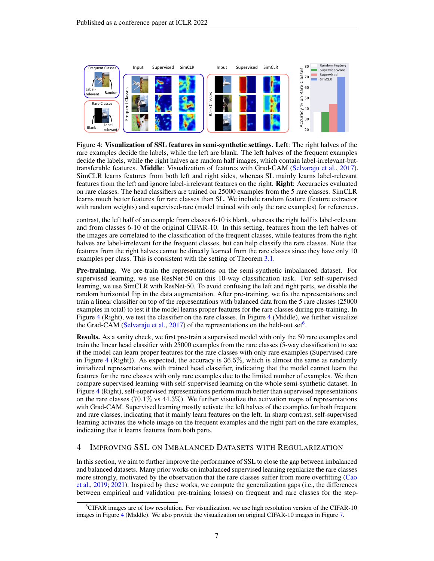

<span id="page-6-0"></span>Figure 4: Visualization of SSL features in semi-synthetic settings. Left: The right halves of the rare examples decide the labels, while the left are blank. The left halves of the frequent examples decide the labels, while the right halves are random half images, which contain label-irrelevant-buttransferable features. Middle: Visualization of features with Grad-CAM [\(Selvaraju et al.,](#page-12-8) [2017\)](#page-12-8). SimCLR learns features from both left and right sides, whereas SL mainly learns label-relevant features from the left and ignore label-irrelevant features on the right. Right: Accuracies evaluated on rare classes. The head classifiers are trained on 25000 examples from the 5 rare classes. SimCLR learns much better features for rare classes than SL. We include random feature (feature extractor with random weights) and supervised-rare (model trained with only the rare examples) for references.

contrast, the left half of an example from classes 6-10 is blank, whereas the right half is label-relevant and from classes 6-10 of the original CIFAR-10. In this setting, features from the left halves of the images are correlated to the classification of the frequent classes, while features from the right halves are label-irrelevant for the frequent classes, but can help classify the rare classes. Note that features from the right halves cannot be directly learned from the rare classes since they have only 10 examples per class. This is consistent with the setting of Theorem [3.1.](#page-5-2)

Pre-training. We pre-train the representations on the semi-synthetic imbalanced dataset. For supervised learning, we use ResNet-50 on this 10-way classification task. For self-supervised learning, we use SimCLR with ResNet-50. To avoid confusing the left and right parts, we disable the random horizontal flip in the data augmentation. After pre-training, we fix the representations and train a linear classifier on top of the representations with balanced data from the 5 rare classes (25000 examples in total) to test if the model learns proper features for the rare classes during pre-training. In Figure [4](#page-6-0) (Right), we test the classifier on the rare classes. In Figure [4](#page-6-0) (Middle), we further visualize the Grad-CAM [\(Selvaraju et al.,](#page-12-8) [2017\)](#page-12-8) of the representations on the held-out set<sup>[6](#page-6-1)</sup>.

Results. As a sanity check, we first pre-train a supervised model with only the 50 rare examples and train the linear head classifier with 25000 examples from the rare classes (5-way classification) to see if the model can learn proper features for the rare classes with only rare examples (Supervised-rare in Figure [4](#page-6-0) (Right)). As expected, the accuracy is  $36.5\%$ , which is almost the same as randomly initialized representations with trained head classifier, indicating that the model cannot learn the features for the rare classes with only rare examples due to the limited number of examples. We then compare supervised learning with self-supervised learning on the whole semi-synthetic dataset. In Figure [4](#page-6-0) (Right), self-supervised representations perform much better than supervised representations on the rare classes (70.1% vs  $44.3\%$ ). We further visualize the activation maps of representations with Grad-CAM. Supervised learning mostly activate the left halves of the examples for both frequent and rare classes, indicating that it mainly learn features on the left. In sharp contrast, self-supervised learning activates the whole image on the frequent examples and the right part on the rare examples, indicating that it learns features from both parts.

# <span id="page-6-2"></span>4 IMPROVING SSL ON IMBALANCED DATASETS WITH REGULARIZATION

In this section, we aim to further improve the performance of SSL to close the gap between imbalanced and balanced datasets. Many prior works on imbalanced supervised learning regularize the rare classes more strongly, motivated by the observation that the rare classes suffer from more overfitting [\(Cao](#page-9-1) [et al.,](#page-9-1) [2019;](#page-9-1) [2021\)](#page-9-4). Inspired by these works, we compute the generalization gaps (i.e., the differences between empirical and validation pre-training losses) on frequent and rare classes for the step-

<span id="page-6-1"></span><sup>&</sup>lt;sup>6</sup>CIFAR images are of low resolution. For visualization, we use high resolution version of the CIFAR-10 images in Figure [4](#page-6-0) (Middle). We also provide the visualization on original CIFAR-10 images in Figure [7.](#page-16-1)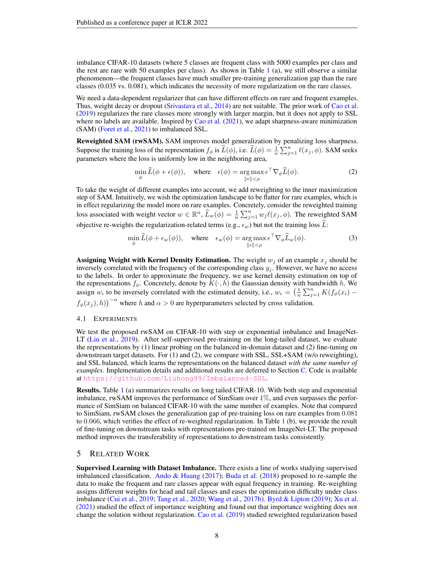imbalance CIFAR-10 datasets (where 5 classes are frequent class with 5000 examples per class and the rest are rare with 50 examples per class). As shown in Table  $1$  (a), we still observe a similar phenomenon—the frequent classes have much smaller pre-training generalization gap than the rare classes (0.035 vs. 0.081), which indicates the necessity of more regularization on the rare classes.

We need a data-dependent regularizer that can have different effects on rare and frequent examples. Thus, weight decay or dropout [\(Srivastava et al.,](#page-12-9) [2014\)](#page-12-9) are not suitable. The prior work of [Cao et al.](#page-9-1) [\(2019\)](#page-9-1) regularizes the rare classes more strongly with larger margin, but it does not apply to SSL where no labels are available. Inspired by [Cao et al.](#page-9-4)  $(2021)$ , we adapt sharpness-aware minimization (SAM) [\(Foret et al.,](#page-10-6) [2021\)](#page-10-6) to imbalanced SSL.

Reweighted SAM (rwSAM). SAM improves model generalization by penalizing loss sharpness. Suppose the training loss of the representation  $f_{\phi}$  is  $\widehat{L}(\phi)$ , i.e.  $\widehat{L}(\phi) = \frac{1}{n} \sum_{j=1}^{n} \ell(x_j, \phi)$ . SAM seeks parameters where the loss is uniformly low in the neighboring area,

$$
\min_{\phi} \widehat{L}(\phi + \epsilon(\phi)), \quad \text{where} \quad \epsilon(\phi) = \underset{\|\epsilon\| < \rho}{\arg\max} \, \epsilon^{\top} \nabla_{\phi} \widehat{L}(\phi). \tag{2}
$$

To take the weight of different examples into account, we add reweighting to the inner maximization step of SAM. Intuitively, we wish the optimization landscape to be flatter for rare examples, which is in effect regularizing the model more on rare examples. Concretely, consider the reweighted training loss associated with weight vector  $w \in \mathbb{R}^n$ ,  $\widehat{L}_w(\phi) = \frac{1}{n} \sum_{j=1}^n w_j \ell(x_j, \phi)$ . The reweighted SAM objective re-weights the regularization-related terms (e.g.,  $\epsilon_w$ ) but not the training loss  $\widehat{L}$ :

$$
\min_{\phi} \widehat{L}(\phi + \epsilon_w(\phi)), \quad \text{where} \quad \epsilon_w(\phi) = \underset{\|\epsilon\| < \rho}{\arg\max} \, \epsilon^\top \nabla_\phi \widehat{L}_w(\phi). \tag{3}
$$

Assigning Weight with Kernel Density Estimation. The weight  $w_j$  of an example  $x_j$  should be inversely correlated with the frequency of the corresponding class  $y_i$ . However, we have no access to the labels. In order to approximate the frequency, we use kernel density estimation on top of the representations  $f_{\phi}$ . Concretely, denote by  $K(\cdot, h)$  the Gaussian density with bandwidth h. We assign  $w_i$  to be inversely correlated with the estimated density, i.e.,  $w_i = \left(\frac{1}{n} \sum_{j=1}^n K(f_\phi(x_i))\right)$ 

 $f_{\phi}(x_j), h$ )<sup>- $\alpha$ </sup> where h and  $\alpha > 0$  are hyperparameters selected by cross validation.

#### 4.1 EXPERIMENTS

We test the proposed rwSAM on CIFAR-10 with step or exponential imbalance and ImageNet-LT [\(Liu et al.,](#page-12-1) [2019\)](#page-12-1). After self-supervised pre-training on the long-tailed dataset, we evaluate the representations by (1) linear probing on the balanced in-domain dataset and (2) fine-tuning on downstream target datasets. For (1) and (2), we compare with SSL, SSL+SAM (w/o reweighting), and SSL balanced, which learns the representations on the balanced dataset *with the same number of examples*. Implementation details and additional results are deferred to Section [C.](#page-15-0) Code is available at <https://github.com/Liuhong99/Imbalanced-SSL>.

Results. Table [1](#page-8-0) (a) summarizes results on long tailed CIFAR-10. With both step and exponential imbalance, rwSAM improves the performance of SimSiam over 1%, and even surpasses the performance of SimSiam on balanced CIFAR-10 with the same number of examples. Note that compared to SimSiam, rwSAM closes the generalization gap of pre-training loss on rare examples from 0.081 to 0.066, which verifies the effect of re-weighted regularization. In Table [1](#page-8-0) (b), we provide the result of fine-tuning on downstream tasks with representations pre-trained on ImageNet-LT. The proposed method improves the transferability of representations to downstream tasks consistently.

### 5 RELATED WORK

Supervised Learning with Dataset Imbalance. There exists a line of works studying supervised imbalanced classification. [Ando & Huang](#page-9-3) [\(2017\)](#page-9-3); [Buda et al.](#page-9-2) [\(2018\)](#page-9-2) proposed to re-sample the data to make the frequent and rare classes appear with equal frequency in training. Re-weighting assigns different weights for head and tail classes and eases the optimization difficulty under class imbalance [\(Cui et al.,](#page-10-3) [2019;](#page-10-3) [Tang et al.,](#page-12-2) [2020;](#page-12-2) [Wang et al.,](#page-13-1) [2017b\)](#page-13-1). [Byrd & Lipton](#page-9-5) [\(2019\)](#page-9-5); [Xu et al.](#page-13-3) [\(2021\)](#page-13-3) studied the effect of importance weighting and found out that importance weighting does not change the solution without regularization. [Cao et al.](#page-9-1) [\(2019\)](#page-9-1) studied reweighted regularization based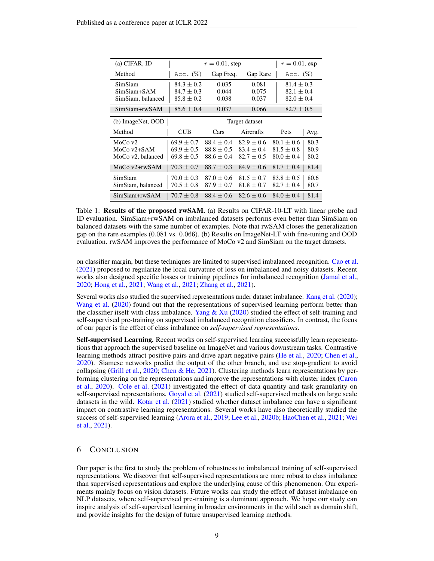| $(a)$ CIFAR, ID                                              |                                                                    |                                                | $r = 0.01$ , exp                               |                                                                    |                      |  |  |  |  |
|--------------------------------------------------------------|--------------------------------------------------------------------|------------------------------------------------|------------------------------------------------|--------------------------------------------------------------------|----------------------|--|--|--|--|
| Method                                                       | Acc. $(\%)$                                                        | Gap Freq.                                      | Gap Rare                                       | Acc. $(\%)$                                                        |                      |  |  |  |  |
| SimSiam<br>SimSiam+SAM<br>SimSiam, balanced<br>SimSiam+rwSAM | $84.3 \pm 0.2$<br>$84.7 \pm 0.3$<br>$85.8 + 0.2$<br>$85.6 \pm 0.4$ | 0.035<br>0.044<br>0.038<br>0.037               | 0.081<br>0.075<br>0.037<br>0.066               | $81.4 \pm 0.3$<br>$82.1 \pm 0.4$<br>$82.0 + 0.4$<br>$82.7 \pm 0.5$ |                      |  |  |  |  |
| (b) ImageNet, OOD                                            | Target dataset                                                     |                                                |                                                |                                                                    |                      |  |  |  |  |
|                                                              |                                                                    |                                                |                                                |                                                                    |                      |  |  |  |  |
| Method                                                       | <b>CUB</b>                                                         | Cars                                           | Aircrafts                                      | Pets                                                               | Avg.                 |  |  |  |  |
| MoCo $v2$<br>MoCo $v2 + SAM$<br>MoCo v2, balanced            | $69.9\pm0.7$<br>$69.9 \pm 0.5$<br>$69.8 \pm 0.5$                   | $88.4 + 0.4$<br>$88.8 \pm 0.5$<br>$88.6 + 0.4$ | $82.9 \pm 0.6$<br>$83.4 + 0.4$<br>$82.7 + 0.5$ | $80.1 \pm 0.6$<br>$81.5 \pm 0.8$<br>$80.0 \pm 0.4$                 | 80.3<br>80.9<br>80.2 |  |  |  |  |
| MoCo $v2 + rwSAM$                                            | $70.3 + 0.7$                                                       | $88.7 + 0.3$                                   | $84.9 + 0.6$                                   | $81.7 \pm 0.4$                                                     | 81.4                 |  |  |  |  |
| SimSiam<br>SimSiam, balanced                                 | $70.0 \pm 0.3$<br>$70.5\pm0.8$                                     | $87.0 + 0.6$<br>$87.9 \pm 0.7$                 | $81.5 + 0.7$<br>$81.8 + 0.7$                   | $83.8 + 0.5$<br>$82.7 \pm 0.4$                                     | 80.6<br>80.7         |  |  |  |  |
| SimSiam+rwSAM                                                | $70.7 + 0.8$                                                       | $88.4 + 0.6$                                   | $82.6 + 0.6$                                   | $84.0 + 0.4$                                                       | 81.4                 |  |  |  |  |

<span id="page-8-0"></span>Table 1: Results of the proposed rwSAM. (a) Results on CIFAR-10-LT with linear probe and ID evaluation. SimSiam+rwSAM on imbalanced datasets performs even better than SimSiam on balanced datasets with the same number of examples. Note that rwSAM closes the generalization gap on the rare examples (0.081 vs. 0.066). (b) Results on ImageNet-LT with fine-tuning and OOD evaluation. rwSAM improves the performance of MoCo v2 and SimSiam on the target datasets.

on classifier margin, but these techniques are limited to supervised imbalanced recognition. [Cao et al.](#page-9-4) [\(2021\)](#page-9-4) proposed to regularize the local curvature of loss on imbalanced and noisy datasets. Recent works also designed specific losses or training pipelines for imbalanced recognition [\(Jamal et al.,](#page-11-1) [2020;](#page-11-1) [Hong et al.,](#page-11-2) [2021;](#page-11-2) [Wang et al.,](#page-13-2) [2021;](#page-13-2) [Zhang et al.,](#page-13-4) [2021\)](#page-13-4).

Several works also studied the supervised representations under dataset imbalance. [Kang et al.](#page-11-4) [\(2020\)](#page-11-4); [Wang et al.](#page-13-5) [\(2020\)](#page-13-5) found out that the representations of supervised learning perform better than the classifier itself with class imbalance. [Yang & Xu](#page-13-6) [\(2020\)](#page-13-6) studied the effect of self-training and self-supervised pre-training on supervised imbalanced recognition classifiers. In contrast, the focus of our paper is the effect of class imbalance on *self-supervised representations*.

Self-supervised Learning. Recent works on self-supervised learning successfully learn representations that approach the supervised baseline on ImageNet and various downstream tasks. Contrastive learning methods attract positive pairs and drive apart negative pairs [\(He et al.,](#page-11-0) [2020;](#page-11-0) [Chen et al.,](#page-10-0) [2020\)](#page-10-0). Siamese networks predict the output of the other branch, and use stop-gradient to avoid collapsing [\(Grill et al.,](#page-10-1) [2020;](#page-10-1) [Chen & He,](#page-10-2) [2021\)](#page-10-2). Clustering methods learn representations by performing clustering on the representations and improve the representations with cluster index [\(Caron](#page-9-0) [et al.,](#page-9-0) [2020\)](#page-9-0). [Cole et al.](#page-10-7) [\(2021\)](#page-10-7) investigated the effect of data quantity and task granularity on self-supervised representations. [Goyal et al.](#page-10-8) [\(2021\)](#page-10-8) studied self-supervised methods on large scale datasets in the wild. [Kotar et al.](#page-11-8) [\(2021\)](#page-11-8) studied whether dataset imbalance can have a significant impact on contrastive learning representations. Several works have also theoretically studied the success of self-supervised learning [\(Arora et al.,](#page-9-6) [2019;](#page-9-6) [Lee et al.,](#page-11-9) [2020b;](#page-11-9) [HaoChen et al.,](#page-10-9) [2021;](#page-10-9) [Wei](#page-13-7) [et al.,](#page-13-7) [2021\)](#page-13-7).

### 6 CONCLUSION

Our paper is the first to study the problem of robustness to imbalanced training of self-supervised representations. We discover that self-supervised representations are more robust to class imbalance than supervised representations and explore the underlying cause of this phenomenon. Our experiments mainly focus on vision datasets. Future works can study the effect of dataset imbalance on NLP datasets, where self-supervised pre-training is a dominant approach. We hope our study can inspire analysis of self-supervised learning in broader environments in the wild such as domain shift, and provide insights for the design of future unsupervised learning methods.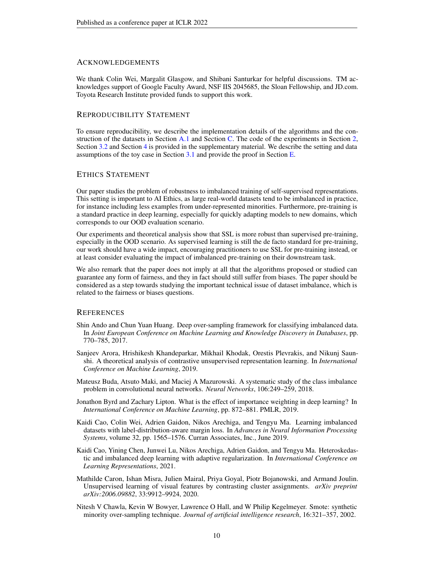### ACKNOWLEDGEMENTS

We thank Colin Wei, Margalit Glasgow, and Shibani Santurkar for helpful discussions. TM acknowledges support of Google Faculty Award, NSF IIS 2045685, the Sloan Fellowship, and JD.com. Toyota Research Institute provided funds to support this work.

### REPRODUCIBILITY STATEMENT

To ensure reproducibility, we describe the implementation details of the algorithms and the construction of the datasets in Section [A.1](#page-14-1) and Section [C.](#page-15-0) The code of the experiments in Section [2,](#page-1-1) Section [3.2](#page-5-0) and Section [4](#page-6-2) is provided in the supplementary material. We describe the setting and data assumptions of the toy case in Section [3.1](#page-4-0) and provide the proof in Section [E.](#page-19-0)

### ETHICS STATEMENT

Our paper studies the problem of robustness to imbalanced training of self-supervised representations. This setting is important to AI Ethics, as large real-world datasets tend to be imbalanced in practice, for instance including less examples from under-represented minorities. Furthermore, pre-training is a standard practice in deep learning, especially for quickly adapting models to new domains, which corresponds to our OOD evaluation scenario.

Our experiments and theoretical analysis show that SSL is more robust than supervised pre-training, especially in the OOD scenario. As supervised learning is still the de facto standard for pre-training, our work should have a wide impact, encouraging practitioners to use SSL for pre-training instead, or at least consider evaluating the impact of imbalanced pre-training on their downstream task.

We also remark that the paper does not imply at all that the algorithms proposed or studied can guarantee any form of fairness, and they in fact should still suffer from biases. The paper should be considered as a step towards studying the important technical issue of dataset imbalance, which is related to the fairness or biases questions.

### **REFERENCES**

- <span id="page-9-3"></span>Shin Ando and Chun Yuan Huang. Deep over-sampling framework for classifying imbalanced data. In *Joint European Conference on Machine Learning and Knowledge Discovery in Databases*, pp. 770–785, 2017.
- <span id="page-9-6"></span>Sanjeev Arora, Hrishikesh Khandeparkar, Mikhail Khodak, Orestis Plevrakis, and Nikunj Saunshi. A theoretical analysis of contrastive unsupervised representation learning. In *International Conference on Machine Learning*, 2019.
- <span id="page-9-2"></span>Mateusz Buda, Atsuto Maki, and Maciej A Mazurowski. A systematic study of the class imbalance problem in convolutional neural networks. *Neural Networks*, 106:249–259, 2018.
- <span id="page-9-5"></span>Jonathon Byrd and Zachary Lipton. What is the effect of importance weighting in deep learning? In *International Conference on Machine Learning*, pp. 872–881. PMLR, 2019.
- <span id="page-9-1"></span>Kaidi Cao, Colin Wei, Adrien Gaidon, Nikos Arechiga, and Tengyu Ma. Learning imbalanced datasets with label-distribution-aware margin loss. In *Advances in Neural Information Processing Systems*, volume 32, pp. 1565–1576. Curran Associates, Inc., June 2019.
- <span id="page-9-4"></span>Kaidi Cao, Yining Chen, Junwei Lu, Nikos Arechiga, Adrien Gaidon, and Tengyu Ma. Heteroskedastic and imbalanced deep learning with adaptive regularization. In *International Conference on Learning Representations*, 2021.
- <span id="page-9-0"></span>Mathilde Caron, Ishan Misra, Julien Mairal, Priya Goyal, Piotr Bojanowski, and Armand Joulin. Unsupervised learning of visual features by contrasting cluster assignments. *arXiv preprint arXiv:2006.09882*, 33:9912–9924, 2020.
- <span id="page-9-7"></span>Nitesh V Chawla, Kevin W Bowyer, Lawrence O Hall, and W Philip Kegelmeyer. Smote: synthetic minority over-sampling technique. *Journal of artificial intelligence research*, 16:321–357, 2002.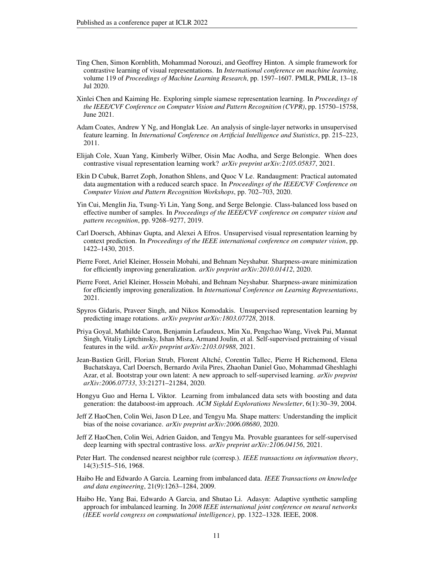- <span id="page-10-0"></span>Ting Chen, Simon Kornblith, Mohammad Norouzi, and Geoffrey Hinton. A simple framework for contrastive learning of visual representations. In *International conference on machine learning*, volume 119 of *Proceedings of Machine Learning Research*, pp. 1597–1607. PMLR, PMLR, 13–18 Jul 2020.
- <span id="page-10-2"></span>Xinlei Chen and Kaiming He. Exploring simple siamese representation learning. In *Proceedings of the IEEE/CVF Conference on Computer Vision and Pattern Recognition (CVPR)*, pp. 15750–15758, June 2021.
- <span id="page-10-5"></span>Adam Coates, Andrew Y Ng, and Honglak Lee. An analysis of single-layer networks in unsupervised feature learning. In *International Conference on Artificial Intelligence and Statistics*, pp. 215–223, 2011.
- <span id="page-10-7"></span>Elijah Cole, Xuan Yang, Kimberly Wilber, Oisin Mac Aodha, and Serge Belongie. When does contrastive visual representation learning work? *arXiv preprint arXiv:2105.05837*, 2021.
- <span id="page-10-10"></span>Ekin D Cubuk, Barret Zoph, Jonathon Shlens, and Quoc V Le. Randaugment: Practical automated data augmentation with a reduced search space. In *Proceedings of the IEEE/CVF Conference on Computer Vision and Pattern Recognition Workshops*, pp. 702–703, 2020.
- <span id="page-10-3"></span>Yin Cui, Menglin Jia, Tsung-Yi Lin, Yang Song, and Serge Belongie. Class-balanced loss based on effective number of samples. In *Proceedings of the IEEE/CVF conference on computer vision and pattern recognition*, pp. 9268–9277, 2019.
- <span id="page-10-15"></span>Carl Doersch, Abhinav Gupta, and Alexei A Efros. Unsupervised visual representation learning by context prediction. In *Proceedings of the IEEE international conference on computer vision*, pp. 1422–1430, 2015.
- <span id="page-10-4"></span>Pierre Foret, Ariel Kleiner, Hossein Mobahi, and Behnam Neyshabur. Sharpness-aware minimization for efficiently improving generalization. *arXiv preprint arXiv:2010.01412*, 2020.
- <span id="page-10-6"></span>Pierre Foret, Ariel Kleiner, Hossein Mobahi, and Behnam Neyshabur. Sharpness-aware minimization for efficiently improving generalization. In *International Conference on Learning Representations*, 2021.
- <span id="page-10-16"></span>Spyros Gidaris, Praveer Singh, and Nikos Komodakis. Unsupervised representation learning by predicting image rotations. *arXiv preprint arXiv:1803.07728*, 2018.
- <span id="page-10-8"></span>Priya Goyal, Mathilde Caron, Benjamin Lefaudeux, Min Xu, Pengchao Wang, Vivek Pai, Mannat Singh, Vitaliy Liptchinsky, Ishan Misra, Armand Joulin, et al. Self-supervised pretraining of visual features in the wild. *arXiv preprint arXiv:2103.01988*, 2021.
- <span id="page-10-1"></span>Jean-Bastien Grill, Florian Strub, Florent Altche, Corentin Tallec, Pierre H Richemond, Elena ´ Buchatskaya, Carl Doersch, Bernardo Avila Pires, Zhaohan Daniel Guo, Mohammad Gheshlaghi Azar, et al. Bootstrap your own latent: A new approach to self-supervised learning. *arXiv preprint arXiv:2006.07733*, 33:21271–21284, 2020.
- <span id="page-10-12"></span>Hongyu Guo and Herna L Viktor. Learning from imbalanced data sets with boosting and data generation: the databoost-im approach. *ACM Sigkdd Explorations Newsletter*, 6(1):30–39, 2004.
- <span id="page-10-17"></span>Jeff Z HaoChen, Colin Wei, Jason D Lee, and Tengyu Ma. Shape matters: Understanding the implicit bias of the noise covariance. *arXiv preprint arXiv:2006.08680*, 2020.
- <span id="page-10-9"></span>Jeff Z HaoChen, Colin Wei, Adrien Gaidon, and Tengyu Ma. Provable guarantees for self-supervised deep learning with spectral contrastive loss. *arXiv preprint arXiv:2106.04156*, 2021.
- <span id="page-10-13"></span>Peter Hart. The condensed nearest neighbor rule (corresp.). *IEEE transactions on information theory*, 14(3):515–516, 1968.
- <span id="page-10-11"></span>Haibo He and Edwardo A Garcia. Learning from imbalanced data. *IEEE Transactions on knowledge and data engineering*, 21(9):1263–1284, 2009.
- <span id="page-10-14"></span>Haibo He, Yang Bai, Edwardo A Garcia, and Shutao Li. Adasyn: Adaptive synthetic sampling approach for imbalanced learning. In *2008 IEEE international joint conference on neural networks (IEEE world congress on computational intelligence)*, pp. 1322–1328. IEEE, 2008.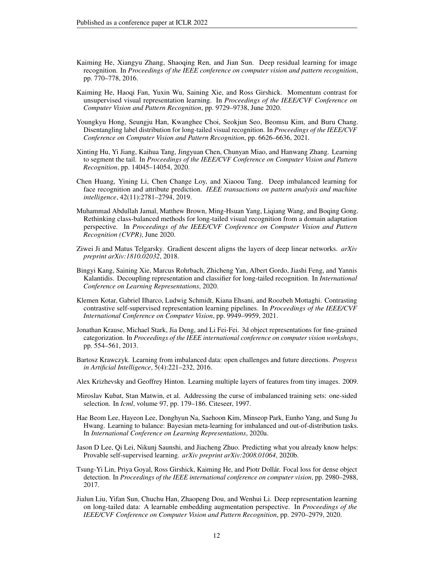- <span id="page-11-6"></span>Kaiming He, Xiangyu Zhang, Shaoqing Ren, and Jian Sun. Deep residual learning for image recognition. In *Proceedings of the IEEE conference on computer vision and pattern recognition*, pp. 770–778, 2016.
- <span id="page-11-0"></span>Kaiming He, Haoqi Fan, Yuxin Wu, Saining Xie, and Ross Girshick. Momentum contrast for unsupervised visual representation learning. In *Proceedings of the IEEE/CVF Conference on Computer Vision and Pattern Recognition*, pp. 9729–9738, June 2020.
- <span id="page-11-2"></span>Youngkyu Hong, Seungju Han, Kwanghee Choi, Seokjun Seo, Beomsu Kim, and Buru Chang. Disentangling label distribution for long-tailed visual recognition. In *Proceedings of the IEEE/CVF Conference on Computer Vision and Pattern Recognition*, pp. 6626–6636, 2021.
- <span id="page-11-12"></span>Xinting Hu, Yi Jiang, Kaihua Tang, Jingyuan Chen, Chunyan Miao, and Hanwang Zhang. Learning to segment the tail. In *Proceedings of the IEEE/CVF Conference on Computer Vision and Pattern Recognition*, pp. 14045–14054, 2020.
- <span id="page-11-13"></span>Chen Huang, Yining Li, Chen Change Loy, and Xiaoou Tang. Deep imbalanced learning for face recognition and attribute prediction. *IEEE transactions on pattern analysis and machine intelligence*, 42(11):2781–2794, 2019.
- <span id="page-11-1"></span>Muhammad Abdullah Jamal, Matthew Brown, Ming-Hsuan Yang, Liqiang Wang, and Boqing Gong. Rethinking class-balanced methods for long-tailed visual recognition from a domain adaptation perspective. In *Proceedings of the IEEE/CVF Conference on Computer Vision and Pattern Recognition (CVPR)*, June 2020.
- <span id="page-11-7"></span>Ziwei Ji and Matus Telgarsky. Gradient descent aligns the layers of deep linear networks. *arXiv preprint arXiv:1810.02032*, 2018.
- <span id="page-11-4"></span>Bingyi Kang, Saining Xie, Marcus Rohrbach, Zhicheng Yan, Albert Gordo, Jiashi Feng, and Yannis Kalantidis. Decoupling representation and classifier for long-tailed recognition. In *International Conference on Learning Representations*, 2020.
- <span id="page-11-8"></span>Klemen Kotar, Gabriel Ilharco, Ludwig Schmidt, Kiana Ehsani, and Roozbeh Mottaghi. Contrasting contrastive self-supervised representation learning pipelines. In *Proceedings of the IEEE/CVF International Conference on Computer Vision*, pp. 9949–9959, 2021.
- <span id="page-11-5"></span>Jonathan Krause, Michael Stark, Jia Deng, and Li Fei-Fei. 3d object representations for fine-grained categorization. In *Proceedings of the IEEE international conference on computer vision workshops*, pp. 554–561, 2013.
- <span id="page-11-10"></span>Bartosz Krawczyk. Learning from imbalanced data: open challenges and future directions. *Progress in Artificial Intelligence*, 5(4):221–232, 2016.
- <span id="page-11-3"></span>Alex Krizhevsky and Geoffrey Hinton. Learning multiple layers of features from tiny images. 2009.
- <span id="page-11-11"></span>Miroslav Kubat, Stan Matwin, et al. Addressing the curse of imbalanced training sets: one-sided selection. In *Icml*, volume 97, pp. 179–186. Citeseer, 1997.
- <span id="page-11-15"></span>Hae Beom Lee, Hayeon Lee, Donghyun Na, Saehoon Kim, Minseop Park, Eunho Yang, and Sung Ju Hwang. Learning to balance: Bayesian meta-learning for imbalanced and out-of-distribution tasks. In *International Conference on Learning Representations*, 2020a.
- <span id="page-11-9"></span>Jason D Lee, Qi Lei, Nikunj Saunshi, and Jiacheng Zhuo. Predicting what you already know helps: Provable self-supervised learning. *arXiv preprint arXiv:2008.01064*, 2020b.
- <span id="page-11-14"></span>Tsung-Yi Lin, Priya Goyal, Ross Girshick, Kaiming He, and Piotr Dollar. Focal loss for dense object ´ detection. In *Proceedings of the IEEE international conference on computer vision*, pp. 2980–2988, 2017.
- <span id="page-11-16"></span>Jialun Liu, Yifan Sun, Chuchu Han, Zhaopeng Dou, and Wenhui Li. Deep representation learning on long-tailed data: A learnable embedding augmentation perspective. In *Proceedings of the IEEE/CVF Conference on Computer Vision and Pattern Recognition*, pp. 2970–2979, 2020.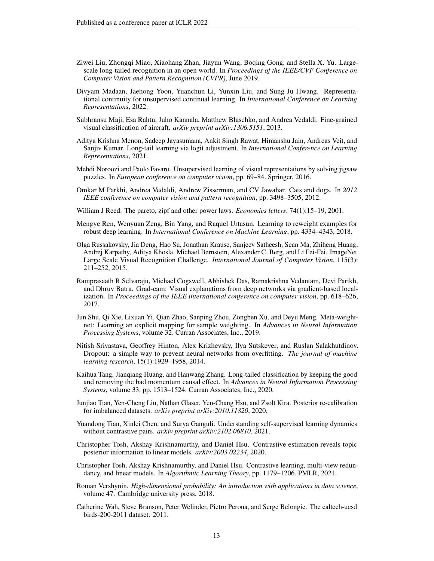- <span id="page-12-1"></span>Ziwei Liu, Zhongqi Miao, Xiaohang Zhan, Jiayun Wang, Boqing Gong, and Stella X. Yu. Largescale long-tailed recognition in an open world. In *Proceedings of the IEEE/CVF Conference on Computer Vision and Pattern Recognition (CVPR)*, June 2019.
- <span id="page-12-14"></span>Divyam Madaan, Jaehong Yoon, Yuanchun Li, Yunxin Liu, and Sung Ju Hwang. Representational continuity for unsupervised continual learning. In *International Conference on Learning Representations*, 2022.
- <span id="page-12-7"></span>Subhransu Maji, Esa Rahtu, Juho Kannala, Matthew Blaschko, and Andrea Vedaldi. Fine-grained visual classification of aircraft. *arXiv preprint arXiv:1306.5151*, 2013.
- <span id="page-12-12"></span>Aditya Krishna Menon, Sadeep Jayasumana, Ankit Singh Rawat, Himanshu Jain, Andreas Veit, and Sanjiv Kumar. Long-tail learning via logit adjustment. In *International Conference on Learning Representations*, 2021.
- <span id="page-12-13"></span>Mehdi Noroozi and Paolo Favaro. Unsupervised learning of visual representations by solving jigsaw puzzles. In *European conference on computer vision*, pp. 69–84. Springer, 2016.
- <span id="page-12-6"></span>Omkar M Parkhi, Andrea Vedaldi, Andrew Zisserman, and CV Jawahar. Cats and dogs. In *2012 IEEE conference on computer vision and pattern recognition*, pp. 3498–3505, 2012.
- <span id="page-12-0"></span>William J Reed. The pareto, zipf and other power laws. *Economics letters*, 74(1):15–19, 2001.
- <span id="page-12-10"></span>Mengye Ren, Wenyuan Zeng, Bin Yang, and Raquel Urtasun. Learning to reweight examples for robust deep learning. In *International Conference on Machine Learning*, pp. 4334–4343, 2018.
- <span id="page-12-4"></span>Olga Russakovsky, Jia Deng, Hao Su, Jonathan Krause, Sanjeev Satheesh, Sean Ma, Zhiheng Huang, Andrej Karpathy, Aditya Khosla, Michael Bernstein, Alexander C. Berg, and Li Fei-Fei. ImageNet Large Scale Visual Recognition Challenge. *International Journal of Computer Vision*, 115(3): 211–252, 2015.
- <span id="page-12-8"></span>Ramprasaath R Selvaraju, Michael Cogswell, Abhishek Das, Ramakrishna Vedantam, Devi Parikh, and Dhruv Batra. Grad-cam: Visual explanations from deep networks via gradient-based localization. In *Proceedings of the IEEE international conference on computer vision*, pp. 618–626, 2017.
- <span id="page-12-11"></span>Jun Shu, Qi Xie, Lixuan Yi, Qian Zhao, Sanping Zhou, Zongben Xu, and Deyu Meng. Meta-weightnet: Learning an explicit mapping for sample weighting. In *Advances in Neural Information Processing Systems*, volume 32. Curran Associates, Inc., 2019.
- <span id="page-12-9"></span>Nitish Srivastava, Geoffrey Hinton, Alex Krizhevsky, Ilya Sutskever, and Ruslan Salakhutdinov. Dropout: a simple way to prevent neural networks from overfitting. *The journal of machine learning research*, 15(1):1929–1958, 2014.
- <span id="page-12-2"></span>Kaihua Tang, Jianqiang Huang, and Hanwang Zhang. Long-tailed classification by keeping the good and removing the bad momentum causal effect. In *Advances in Neural Information Processing Systems*, volume 33, pp. 1513–1524. Curran Associates, Inc., 2020.
- <span id="page-12-3"></span>Junjiao Tian, Yen-Cheng Liu, Nathan Glaser, Yen-Chang Hsu, and Zsolt Kira. Posterior re-calibration for imbalanced datasets. *arXiv preprint arXiv:2010.11820*, 2020.
- <span id="page-12-15"></span>Yuandong Tian, Xinlei Chen, and Surya Ganguli. Understanding self-supervised learning dynamics without contrastive pairs. *arXiv preprint arXiv:2102.06810*, 2021.
- <span id="page-12-16"></span>Christopher Tosh, Akshay Krishnamurthy, and Daniel Hsu. Contrastive estimation reveals topic posterior information to linear models. *arXiv:2003.02234*, 2020.
- <span id="page-12-17"></span>Christopher Tosh, Akshay Krishnamurthy, and Daniel Hsu. Contrastive learning, multi-view redundancy, and linear models. In *Algorithmic Learning Theory*, pp. 1179–1206. PMLR, 2021.
- <span id="page-12-18"></span>Roman Vershynin. *High-dimensional probability: An introduction with applications in data science*, volume 47. Cambridge university press, 2018.
- <span id="page-12-5"></span>Catherine Wah, Steve Branson, Peter Welinder, Pietro Perona, and Serge Belongie. The caltech-ucsd birds-200-2011 dataset. 2011.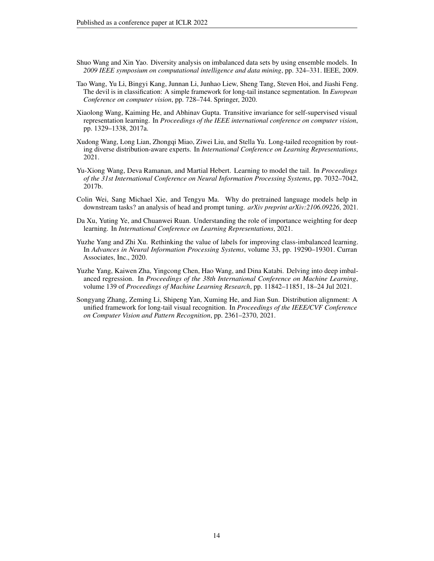- <span id="page-13-8"></span>Shuo Wang and Xin Yao. Diversity analysis on imbalanced data sets by using ensemble models. In *2009 IEEE symposium on computational intelligence and data mining*, pp. 324–331. IEEE, 2009.
- <span id="page-13-5"></span>Tao Wang, Yu Li, Bingyi Kang, Junnan Li, Junhao Liew, Sheng Tang, Steven Hoi, and Jiashi Feng. The devil is in classification: A simple framework for long-tail instance segmentation. In *European Conference on computer vision*, pp. 728–744. Springer, 2020.
- <span id="page-13-9"></span>Xiaolong Wang, Kaiming He, and Abhinav Gupta. Transitive invariance for self-supervised visual representation learning. In *Proceedings of the IEEE international conference on computer vision*, pp. 1329–1338, 2017a.
- <span id="page-13-2"></span>Xudong Wang, Long Lian, Zhongqi Miao, Ziwei Liu, and Stella Yu. Long-tailed recognition by routing diverse distribution-aware experts. In *International Conference on Learning Representations*, 2021.
- <span id="page-13-1"></span>Yu-Xiong Wang, Deva Ramanan, and Martial Hebert. Learning to model the tail. In *Proceedings of the 31st International Conference on Neural Information Processing Systems*, pp. 7032–7042, 2017b.
- <span id="page-13-7"></span>Colin Wei, Sang Michael Xie, and Tengyu Ma. Why do pretrained language models help in downstream tasks? an analysis of head and prompt tuning. *arXiv preprint arXiv:2106.09226*, 2021.
- <span id="page-13-3"></span>Da Xu, Yuting Ye, and Chuanwei Ruan. Understanding the role of importance weighting for deep learning. In *International Conference on Learning Representations*, 2021.
- <span id="page-13-6"></span>Yuzhe Yang and Zhi Xu. Rethinking the value of labels for improving class-imbalanced learning. In *Advances in Neural Information Processing Systems*, volume 33, pp. 19290–19301. Curran Associates, Inc., 2020.
- <span id="page-13-0"></span>Yuzhe Yang, Kaiwen Zha, Yingcong Chen, Hao Wang, and Dina Katabi. Delving into deep imbalanced regression. In *Proceedings of the 38th International Conference on Machine Learning*, volume 139 of *Proceedings of Machine Learning Research*, pp. 11842–11851, 18–24 Jul 2021.
- <span id="page-13-4"></span>Songyang Zhang, Zeming Li, Shipeng Yan, Xuming He, and Jian Sun. Distribution alignment: A unified framework for long-tail visual recognition. In *Proceedings of the IEEE/CVF Conference on Computer Vision and Pattern Recognition*, pp. 2361–2370, 2021.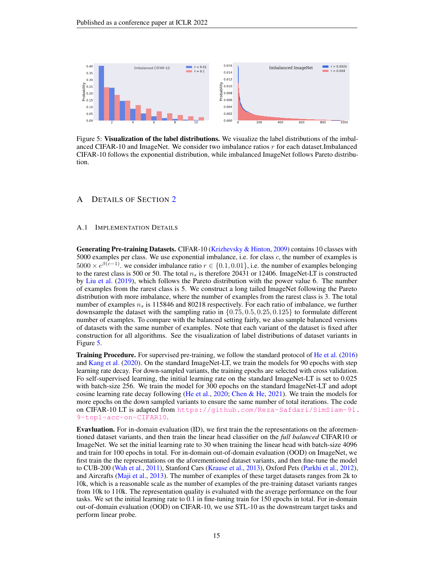

<span id="page-14-2"></span>Figure 5: Visualization of the label distributions. We visualize the label distributions of the imbalanced CIFAR-10 and ImageNet. We consider two imbalance ratios r for each dataset.Imbalanced CIFAR-10 follows the exponential distribution, while imbalanced ImageNet follows Pareto distribution.

# <span id="page-14-0"></span>A DETAILS OF SECTION [2](#page-1-1)

#### <span id="page-14-1"></span>A.1 IMPLEMENTATION DETAILS

Generating Pre-training Datasets. CIFAR-10 [\(Krizhevsky & Hinton,](#page-11-3) [2009\)](#page-11-3) contains 10 classes with 5000 examples per class. We use exponential imbalance, i.e. for class c, the number of examples is  $5000 \times e^{\beta(c-1)}$ . we consider imbalance ratio  $r \in \{0.1, 0.01\}$ , i.e. the number of examples belonging to the rarest class is 500 or 50. The total  $n_s$  is therefore 20431 or 12406. ImageNet-LT is constructed by [Liu et al.](#page-12-1) [\(2019\)](#page-12-1), which follows the Pareto distribution with the power value 6. The number of examples from the rarest class is 5. We construct a long tailed ImageNet following the Pareto distribution with more imbalance, where the number of examples from the rarest class is 3. The total number of examples  $n<sub>s</sub>$  is 115846 and 80218 respectively. For each ratio of imbalance, we further downsample the dataset with the sampling ratio in  $\{0.75, 0.5, 0.25, 0.125\}$  to formulate different number of examples. To compare with the balanced setting fairly, we also sample balanced versions of datasets with the same number of examples. Note that each variant of the dataset is fixed after construction for all algorithms. See the visualization of label distributions of dataset variants in Figure [5.](#page-14-2)

Training Procedure. For supervised pre-training, we follow the standard protocol of [He et al.](#page-11-6) [\(2016\)](#page-11-6) and [Kang et al.](#page-11-4) [\(2020\)](#page-11-4). On the standard ImageNet-LT, we train the models for 90 epochs with step learning rate decay. For down-sampled variants, the training epochs are selected with cross validation. Fo self-supervised learning, the initial learning rate on the standard ImageNet-LT is set to 0.025 with batch-size 256. We train the model for 300 epochs on the standard ImageNet-LT and adopt cosine learning rate decay following [\(He et al.,](#page-11-0) [2020;](#page-11-0) [Chen & He,](#page-10-2) [2021\)](#page-10-2). We train the models for more epochs on the down sampled variants to ensure the same number of total iterations. The code on CIFAR-10 LT is adapted from [https://github.com/Reza-Safdari/SimSiam-91.](https://github.com/Reza-Safdari/SimSiam-91.9-top1-acc-on-CIFAR10) [9-top1-acc-on-CIFAR10](https://github.com/Reza-Safdari/SimSiam-91.9-top1-acc-on-CIFAR10).

Evavluation. For in-domain evaluation (ID), we first train the the representations on the aforementioned dataset variants, and then train the linear head classifier on the *full balanced* CIFAR10 or ImageNet. We set the initial learning rate to 30 when training the linear head with batch-size 4096 and train for 100 epochs in total. For in-domain out-of-domain evaluation (OOD) on ImageNet, we first train the the representations on the aforementioned dataset variants, and then fine-tune the model to CUB-200 [\(Wah et al.,](#page-12-5) [2011\)](#page-12-5), Stanford Cars [\(Krause et al.,](#page-11-5) [2013\)](#page-11-5), Oxford Pets [\(Parkhi et al.,](#page-12-6) [2012\)](#page-12-6), and Aircrafts [\(Maji et al.,](#page-12-7) [2013\)](#page-12-7). The number of examples of these target datasets ranges from 2k to 10k, which is a reasonable scale as the number of examples of the pre-training dataset variants ranges from 10k to 110k. The representation quality is evaluated with the average performance on the four tasks. We set the initial learning rate to 0.1 in fine-tuning train for 150 epochs in total. For in-domain out-of-domain evaluation (OOD) on CIFAR-10, we use STL-10 as the downstream target tasks and perform linear probe.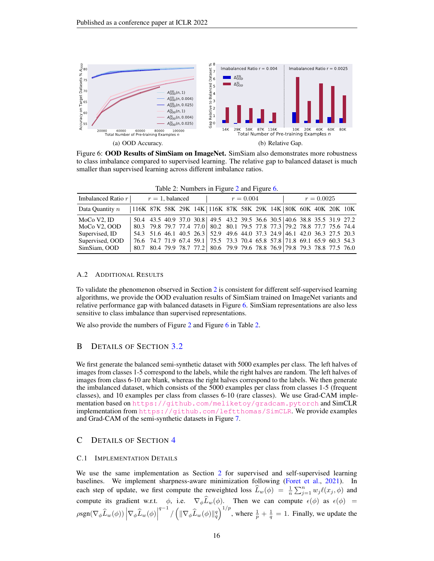

Figure 6: OOD Results of SimSiam on ImageNet. SimSiam also demonstrates more robustness to class imbalance compared to supervised learning. The relative gap to balanced dataset is much smaller than supervised learning across different imbalance ratios.

<span id="page-15-2"></span>

| Imbalanced Ratio $r$<br>$r=1$ , balanced |                                                                   | $r = 0.004$ |  |  | $r = 0.0025$                                                               |  |  |  |  |  |  |  |  |
|------------------------------------------|-------------------------------------------------------------------|-------------|--|--|----------------------------------------------------------------------------|--|--|--|--|--|--|--|--|
| Data Quantity $n$                        | 116K 87K 58K 29K 14K   116K 87K 58K 29K 14K   80K 60K 40K 20K 10K |             |  |  |                                                                            |  |  |  |  |  |  |  |  |
| MoCo V2. ID                              |                                                                   |             |  |  | 50.4 43.5 40.9 37.0 30.8 49.5 43.2 39.5 36.6 30.5 40.6 38.8 35.5 31.9 27.2 |  |  |  |  |  |  |  |  |
| MoCo V2, OOD                             |                                                                   |             |  |  | 80.3 79.8 79.7 77.4 77.0 80.2 80.1 79.5 77.8 77.3 79.2 78.8 77.7 75.6 74.4 |  |  |  |  |  |  |  |  |
| Supervised, ID                           |                                                                   |             |  |  | 54.3 51.6 46.1 40.5 26.3 52.9 49.6 44.0 37.3 24.9 46.1 42.0 36.3 27.5 20.3 |  |  |  |  |  |  |  |  |
| Supervised, OOD                          |                                                                   |             |  |  | 76.6 74.7 71.9 67.4 59.1 75.5 73.3 70.4 65.8 57.8 71.8 69.1 65.9 60.3 54.3 |  |  |  |  |  |  |  |  |
| SimSiam, OOD                             |                                                                   |             |  |  | 80.7 80.4 79.9 78.7 77.2 80.6 79.9 79.6 78.8 76.9 79.8 79.3 78.8 77.5 76.0 |  |  |  |  |  |  |  |  |

<span id="page-15-1"></span>Table [2](#page-3-1): Numbers in Figure 2 and Figure [6.](#page-15-1)

#### A.2 ADDITIONAL RESULTS

To validate the phenomenon observed in Section [2](#page-1-1) is consistent for different self-supervised learning algorithms, we provide the OOD evaluation results of SimSiam trained on ImageNet variants and relative performance gap with balanced datasets in Figure [6.](#page-15-1) SimSiam representations are also less sensitive to class imbalance than supervised representations.

We also provide the numbers of Figure [2](#page-3-1) and Figure [6](#page-15-1) in Table [2.](#page-15-2)

# B DETAILS OF SECTION [3.2](#page-5-0)

We first generate the balanced semi-synthetic dataset with 5000 examples per class. The left halves of images from classes 1-5 correspond to the labels, while the right halves are random. The left halves of images from class 6-10 are blank, whereas the right halves correspond to the labels. We then generate the imbalanced dataset, which consists of the 5000 examples per class from classes 1-5 (frequent classes), and 10 examples per class from classes 6-10 (rare classes). We use Grad-CAM implementation based on <https://github.com/meliketoy/gradcam.pytorch> and SimCLR implementation from  $https://github.com/leftthomas/SimCLR$ . We provide examples and Grad-CAM of the semi-synthetic datasets in Figure [7.](#page-16-1)

### <span id="page-15-0"></span>C DETAILS OF SECTION [4](#page-6-2)

#### C.1 IMPLEMENTATION DETAILS

We use the same implementation as Section [2](#page-1-1) for supervised and self-supervised learning baselines. We implement sharpness-aware minimization following [\(Foret et al.,](#page-10-6) [2021\)](#page-10-6). In each step of update, we first compute the reweighted loss  $\widehat{L}_w(\phi) = \frac{1}{n} \sum_{j=1}^n w_j \ell(x_j, \phi)$  and compute its gradient w.r.t.  $\phi$ , i.e.  $\nabla_{\phi}L_w(\phi)$ . Then we can compute  $\epsilon(\phi)$  as  $\epsilon(\phi)$  =  $\rho \text{sgn}(\nabla_{\phi} \widehat{L}_w(\phi)) \left| \nabla_{\phi} \widehat{L}_w(\phi) \right|$  $\int_{q^{-1}}^{q-1} / (\|\nabla_{\phi}\widehat{L}_{w}(\phi)\|_{q}^{q})^{1/p}$ , where  $\frac{1}{p} + \frac{1}{q} = 1$ . Finally, we update the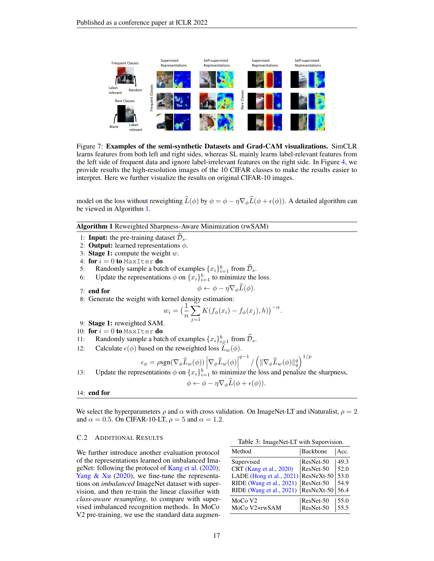

Figure 7: Examples of the semi-synthetic Datasets and Grad-CAM visualizations. SimCLR learns features from both left and right sides, whereas SL mainly learns label-relevant features from the left side of frequent data and ignore label-irrelevant features on the right side. In Figure [4,](#page-6-0) we provide results the high-resolution images of the 10 CIFAR classes to make the results easier to interpret. Here we further visualize the results on original CIFAR-10 images.

model on the loss without reweighting  $\hat{L}(\phi)$  by  $\phi = \phi - \eta \nabla_{\phi} \hat{L}(\phi + \epsilon(\phi))$ . A detailed algorithm can be viewed in Algorithm [1.](#page-16-2)

Algorithm 1 Reweighted Sharpness-Aware Minimization (rwSAM)

- <span id="page-16-2"></span>1: **Input:** the pre-training dataset  $\mathcal{D}_s$ .
- 2: **Output:** learned representations  $\phi$ .
- 3: Stage 1: compute the weight  $w$ .
- 4: for  $i = 0$  to MaxIter do
- 5: Randomly sample a batch of examples  $\{x_i\}_{i=1}^b$  from  $\widehat{\mathcal{D}}_s$ .
- 6: Update the representations  $\phi$  on  $\{x_i\}_{i=1}^b$  to minimize the loss.

<span id="page-16-1"></span>
$$
\phi \leftarrow \phi - \eta \nabla_{\phi} \widehat{L}(\phi).
$$

- 7: end for
- 8: Generate the weight with kernel density estimation:<br> $w_i = \left(\frac{1}{N}\sum K(f_i(x_i))\right)$

$$
w_i = \left(\frac{1}{n}\sum_{j=1}^n K(f_{\phi}(x_i) - f_{\phi}(x_j), h)\right)^{-\alpha}.
$$

- 9: Stage 1: reweighted SAM.
- 10: for  $i = 0$  to MaxIter do
- 11: Randomly sample a batch of examples  $\{x_i\}_{i=1}^b$  from  $\widehat{\mathcal{D}}_s$ .
- 12: Calculate  $\epsilon(\phi)$  based on the reweighted loss  $L_w(\phi)$ .

$$
\epsilon_{\phi} = \rho \text{sgn}(\nabla_{\phi} \widehat{L}_w(\phi)) \left| \nabla_{\phi} \widehat{L}_w(\phi) \right|^{q-1} / \left( \|\nabla_{\phi} \widehat{L}_w(\phi)\|_q^q \right)^{1/p}
$$
  
13: Update the representations  $\phi$  on  $\{x_i\}_{i=1}^b$  to minimize the loss and penalize the sharpness,

$$
\phi \leftarrow \phi - \eta \nabla_{\phi} L(\phi + \epsilon(\phi)).
$$

#### 14: end for

We select the hyperparameters  $\rho$  and  $\alpha$  with cross validation. On ImageNet-LT and iNaturalist,  $\rho = 2$ and  $\alpha = 0.5$ . On CIFAR-10-LT,  $\rho = 5$  and  $\alpha = 1.2$ .

# C.2 ADDITIONAL RESULTS<br>
Table 3: ImageNet-LT with Supervision.

We further introduce another evaluation protocol of the representations learned on imbalanced ImageNet: following the protocol of [Kang et al.](#page-11-4) [\(2020\)](#page-11-4); Yang  $\&$  Xu [\(2020\)](#page-13-6), we fine-tune the representations on *imbalanced* ImageNet dataset with supervision, and then re-train the linear classifier with *class-aware resampling*, to compare with supervised imbalanced recognition methods. In MoCo V2 pre-training, we use the standard data augmen-

<span id="page-16-0"></span>

| Method                                 | Backbone  | Acc. |
|----------------------------------------|-----------|------|
| Supervised                             | ResNet-50 | 49.3 |
| CRT (Kang et al., 2020)                | ResNet-50 | 52.0 |
| LADE (Hong et al., $2021$ ) ResNeXt-50 |           | 53.0 |
| RIDE (Wang et al., 2021)               | ResNet-50 | 54.9 |
| RIDE (Wang et al., 2021)   ResNeXt-50  |           | 56.4 |
| MoCo V <sub>2</sub>                    | ResNet-50 | 55.0 |
| MoCo V2+rwSAM                          | ResNet-50 | 55.5 |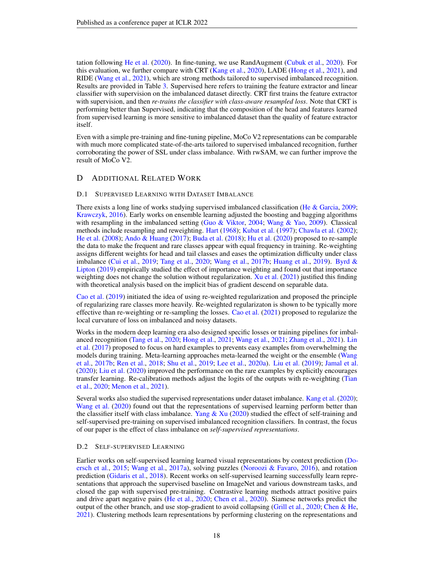tation following [He et al.](#page-11-0) [\(2020\)](#page-11-0). In fine-tuning, we use RandAugment [\(Cubuk et al.,](#page-10-10) [2020\)](#page-10-10). For this evaluation, we further compare with CRT [\(Kang et al.,](#page-11-4) [2020\)](#page-11-4), LADE [\(Hong et al.,](#page-11-2) [2021\)](#page-11-2), and RIDE [\(Wang et al.,](#page-13-2) [2021\)](#page-13-2), which are strong methods tailored to supervised imbalanced recognition. Results are provided in Table [3.](#page-16-0) Supervised here refers to training the feature extractor and linear classifier with supervision on the imbalanced dataset directly. CRT first trains the feature extractor with supervision, and then *re-trains the classifier with class-aware resampled loss*. Note that CRT is performing better than Supervised, indicating that the composition of the head and features learned from supervised learning is more sensitive to imbalanced dataset than the quality of feature extractor itself.

Even with a simple pre-training and fine-tuning pipeline, MoCo V2 representations can be comparable with much more complicated state-of-the-arts tailored to supervised imbalanced recognition, further corroborating the power of SSL under class imbalance. With rwSAM, we can further improve the result of MoCo V2.

# D ADDITIONAL RELATED WORK

### D.1 SUPERVISED LEARNING WITH DATASET IMBALANCE

There exists a long line of works studying supervised imbalanced classification [\(He & Garcia,](#page-10-11) [2009;](#page-10-11) [Krawczyk,](#page-11-10) [2016\)](#page-11-10). Early works on ensemble learning adjusted the boosting and bagging algorithms with resampling in the imbalanced setting [\(Guo & Viktor,](#page-10-12) [2004;](#page-10-12) [Wang & Yao,](#page-13-8) [2009\)](#page-13-8). Classical methods include resampling and reweighting. [Hart](#page-10-13) [\(1968\)](#page-10-13); [Kubat et al.](#page-11-11) [\(1997\)](#page-11-11); [Chawla et al.](#page-9-7) [\(2002\)](#page-9-7); [He et al.](#page-10-14) [\(2008\)](#page-10-14); [Ando & Huang](#page-9-3) [\(2017\)](#page-9-3); [Buda et al.](#page-9-2) [\(2018\)](#page-9-2); [Hu et al.](#page-11-12) [\(2020\)](#page-11-12) proposed to re-sample the data to make the frequent and rare classes appear with equal frequency in training. Re-weighting assigns different weights for head and tail classes and eases the optimization difficulty under class imbalance [\(Cui et al.,](#page-10-3) [2019;](#page-10-3) [Tang et al.,](#page-12-2) [2020;](#page-12-2) [Wang et al.,](#page-13-1) [2017b;](#page-13-1) [Huang et al.,](#page-11-13) [2019\)](#page-11-13). [Byrd &](#page-9-5) [Lipton](#page-9-5) [\(2019\)](#page-9-5) empirically studied the effect of importance weighting and found out that importance weighting does not change the solution without regularization. [Xu et al.](#page-13-3) [\(2021\)](#page-13-3) justified this finding with theoretical analysis based on the implicit bias of gradient descend on separable data.

[Cao et al.](#page-9-1) [\(2019\)](#page-9-1) initiated the idea of using re-weighted regularization and proposed the principle of regularizing rare classes more heavily. Re-weighted regularizaton is shown to be typically more effective than re-weighting or re-sampling the losses. [Cao et al.](#page-9-4) [\(2021\)](#page-9-4) proposed to regularize the local curvature of loss on imbalanced and noisy datasets.

Works in the modern deep learning era also designed specific losses or training pipelines for imbalanced recognition [\(Tang et al.,](#page-12-2) [2020;](#page-12-2) [Hong et al.,](#page-11-2) [2021;](#page-11-2) [Wang et al.,](#page-13-2) [2021;](#page-13-2) [Zhang et al.,](#page-13-4) [2021\)](#page-13-4). [Lin](#page-11-14) [et al.](#page-11-14) [\(2017\)](#page-11-14) proposed to focus on hard examples to prevents easy examples from overwhelming the models during training. Meta-learning approaches meta-learned the weight or the ensemble [\(Wang](#page-13-1) [et al.,](#page-13-1) [2017b;](#page-13-1) [Ren et al.,](#page-12-10) [2018;](#page-12-10) [Shu et al.,](#page-12-11) [2019;](#page-12-11) [Lee et al.,](#page-11-15) [2020a\)](#page-11-15). [Liu et al.](#page-12-1) [\(2019\)](#page-12-1); [Jamal et al.](#page-11-1) [\(2020\)](#page-11-1); [Liu et al.](#page-11-16) [\(2020\)](#page-11-16) improved the performance on the rare examples by explicitly encourages transfer learning. Re-calibration methods adjust the logits of the outputs with re-weighting [\(Tian](#page-12-3) [et al.,](#page-12-3) [2020;](#page-12-3) [Menon et al.,](#page-12-12) [2021\)](#page-12-12).

Several works also studied the supervised representations under dataset imbalance. [Kang et al.](#page-11-4) [\(2020\)](#page-11-4); [Wang et al.](#page-13-5) [\(2020\)](#page-13-5) found out that the representations of supervised learning perform better than the classifier itself with class imbalance. Yang  $& Xu(2020)$  $& Xu(2020)$  studied the effect of self-training and self-supervised pre-training on supervised imbalanced recognition classifiers. In contrast, the focus of our paper is the effect of class imbalance on *self-supervised representations*.

### D.2 SELF-SUPERVISED LEARNING

Earlier works on self-supervised learning learned visual representations by context prediction [\(Do](#page-10-15)[ersch et al.,](#page-10-15) [2015;](#page-10-15) [Wang et al.,](#page-13-9) [2017a\)](#page-13-9), solving puzzles [\(Noroozi & Favaro,](#page-12-13) [2016\)](#page-12-13), and rotation prediction [\(Gidaris et al.,](#page-10-16) [2018\)](#page-10-16). Recent works on self-supervised learning successfully learn representations that approach the supervised baseline on ImageNet and various downstream tasks, and closed the gap with supervised pre-training. Contrastive learning methods attract positive pairs and drive apart negative pairs [\(He et al.,](#page-11-0) [2020;](#page-11-0) [Chen et al.,](#page-10-0) [2020\)](#page-10-0). Siamese networks predict the output of the other branch, and use stop-gradient to avoid collapsing [\(Grill et al.,](#page-10-1) [2020;](#page-10-1) [Chen & He,](#page-10-2) [2021\)](#page-10-2). Clustering methods learn representations by performing clustering on the representations and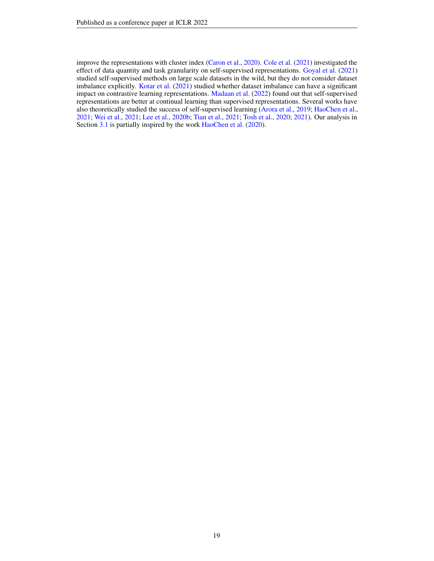improve the representations with cluster index [\(Caron et al.,](#page-9-0) [2020\)](#page-9-0). [Cole et al.](#page-10-7) [\(2021\)](#page-10-7) investigated the effect of data quantity and task granularity on self-supervised representations. [Goyal et al.](#page-10-8) [\(2021\)](#page-10-8) studied self-supervised methods on large scale datasets in the wild, but they do not consider dataset imbalance explicitly. [Kotar et al.](#page-11-8) [\(2021\)](#page-11-8) studied whether dataset imbalance can have a significant impact on contrastive learning representations. [Madaan et al.](#page-12-14) [\(2022\)](#page-12-14) found out that self-supervised representations are better at continual learning than supervised representations. Several works have also theoretically studied the success of self-supervised learning [\(Arora et al.,](#page-9-6) [2019;](#page-9-6) [HaoChen et al.,](#page-10-9) [2021;](#page-10-9) [Wei et al.,](#page-13-7) [2021;](#page-13-7) [Lee et al.,](#page-11-9) [2020b;](#page-11-9) [Tian et al.,](#page-12-15) [2021;](#page-12-15) [Tosh et al.,](#page-12-16) [2020;](#page-12-16) [2021\)](#page-12-17). Our analysis in Section [3.1](#page-4-0) is partially inspired by the work [HaoChen et al.](#page-10-17) [\(2020\)](#page-10-17).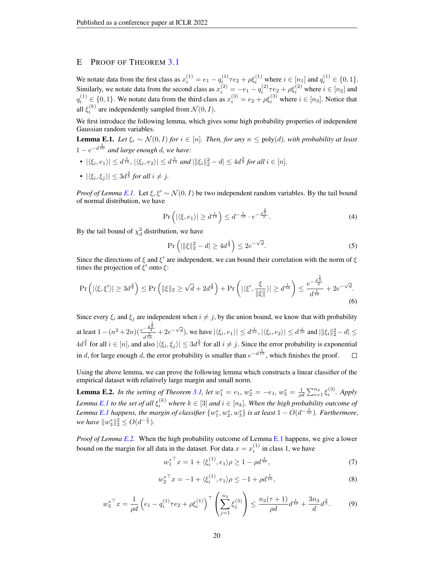# <span id="page-19-0"></span>E PROOF OF THEOREM [3.1](#page-5-2)

We notate data from the first class as  $x_i^{(1)} = e_1 - q_i^{(1)} \tau e_2 + \rho \xi_i^{(1)}$  where  $i \in [n_1]$  and  $q_i^{(1)} \in \{0, 1\}$ . Similarly, we notate data from the second class as  $x_i^{(2)} = -e_1 - q_i^{(2)}\tau e_2 + \rho \xi_i^{(2)}$  where  $i \in [n_2]$  and  $q_i^{(1)} \in \{0,1\}$ . We notate data from the third class as  $x_i^{(3)} = e_2 + \rho \xi_i^{(3)}$  where  $i \in [n_3]$ . Notice that all  $\xi_i^{(k)}$  are independently sampled from  $\mathcal{N}(0,I)$ .

We first introduce the following lemma, which gives some high probability properties of independent Gaussian random variables.

<span id="page-19-1"></span>**Lemma E.1.** *Let*  $\xi_i$  ∼  $\mathcal{N}(0, I)$  *for*  $i \in [n]$ *. Then, for any*  $n \leq poly(d)$ *, with probability at least*  $1 - e^{-d\frac{1}{10}}$  and large enough d, we have:

- $|\langle \xi_i, e_1 \rangle| \le d^{\frac{1}{10}}$ ,  $|\langle \xi_i, e_2 \rangle| \le d^{\frac{1}{10}}$  and  $|\|\xi_i\|_2^2 d| \le 4d^{\frac{3}{4}}$  for all  $i \in [n]$ .
- $|\langle \xi_i, \xi_j \rangle| \leq 3d^{\frac{3}{5}}$  for all  $i \neq j$ .

*Proof of Lemma [E.1.](#page-19-1)* Let  $\xi$ ,  $\xi' \sim \mathcal{N}(0, I)$  be two independent random variables. By the tail bound of normal distribution, we have

$$
\Pr\left(|\langle \xi, e_1 \rangle| \ge d^{\frac{1}{10}}\right) \le d^{-\frac{1}{10}} \cdot e^{-\frac{d^{\frac{1}{5}}}{2}}.
$$
\n(4)

By the tail bound of  $\chi_d^2$  distribution, we have

$$
\Pr\left(|||\xi||_2^2 - d| \ge 4d^{\frac{3}{4}}\right) \le 2e^{-\sqrt{d}}.\tag{5}
$$

Since the directions of  $\xi$  and  $\xi'$  are independent, we can bound their correlation with the norm of  $\xi$ times the projection of  $\zeta'$  onto  $\zeta$ :

$$
\Pr\left(|\langle \xi, \xi' \rangle| \ge 3d^{\frac{3}{5}}\right) \le \Pr\left(\|\xi\|_2 \ge \sqrt{d} + 2d^{\frac{3}{8}}\right) + \Pr\left(|\langle \xi', \frac{\xi}{\|\xi\|}\rangle| \ge d^{\frac{1}{10}}\right) \le \frac{e^{-\frac{d^{\frac{1}{5}}}{2}}}{d^{\frac{1}{10}}} + 2e^{-\sqrt{d}}.\tag{6}
$$

Since every  $\xi_i$  and  $\xi_j$  are independent when  $i \neq j$ , by the union bound, we know that with probability at least  $1 - (n^2 + 2n)(\frac{e^{-\frac{d^{\frac{1}{5}}}{2}}}{d^{\frac{1}{10}}} + 2e^{-\sqrt{d}})$ , we have  $|\langle \xi_i, e_1 \rangle| \leq d^{\frac{1}{10}}$ ,  $|\langle \xi_i, e_2 \rangle| \leq d^{\frac{1}{10}}$  and  $|\|\xi_i\|_2^2 - d| \leq$ d  $4d^{\frac{3}{4}}$  for all  $i \in [n]$ , and also  $|\langle \xi_i, \xi_j \rangle| \leq 3d^{\frac{3}{5}}$  for all  $i \neq j$ . Since the error probability is exponential in d, for large enough d, the error probability is smaller than  $e^{-d\frac{1}{10}}$ , which finishes the proof.  $\Box$ 

Using the above lemma, we can prove the following lemma which constructs a linear classifier of the empirical dataset with relatively large margin and small norm.

<span id="page-19-2"></span>**Lemma E.2.** In the setting of Theorem [3.1,](#page-5-2) let  $w_1^* = e_1$ ,  $w_2^* = -e_1$ ,  $w_3^* = \frac{1}{\rho d} \sum_{i=1}^{n_3} \xi_i^{(3)}$ . Apply Lemma [E.1](#page-19-1) to the set of all  $\xi_i^{(k)}$  where  $k \in [3]$  and  $i \in [n_k]$ . When the high probability outcome of Lemma [E.1](#page-19-1) happens, the margin of classifier  $\{w_1^*, w_2^*, w_3^*\}$  is at least  $1 - O(d^{-\frac{1}{10}})$ . Furthermore, *we have*  $||w_3^*||_2^2 \leq O(d^{-\frac{1}{5}})$ *.* 

*Proof of Lemma [E.2.](#page-19-2)* When the high probability outcome of Lemma [E.1](#page-19-1) happens, we give a lower bound on the margin for all data in the dataset. For data  $x = x_i^{(1)}$  in class 1, we have

w

$$
w_1^{*^{\top}} x = 1 + \langle \xi_i^{(1)}, e_1 \rangle \rho \ge 1 - \rho d^{\frac{1}{10}},\tag{7}
$$

$$
v_2^{*^{\top}} x = -1 + \langle \xi_i^{(1)}, e_1 \rangle \rho \le -1 + \rho d^{\frac{1}{10}}, \tag{8}
$$

$$
w_3^*^{\top} x = \frac{1}{\rho d} \left( e_1 - q_i^{(1)} \tau e_2 + \rho \xi_i^{(1)} \right)^{\top} \left( \sum_{j=1}^{n_3} \xi_j^{(3)} \right) \le \frac{n_3(\tau + 1)}{\rho d} d^{\frac{1}{10}} + \frac{3n_3}{d} d^{\frac{3}{5}}.
$$
 (9)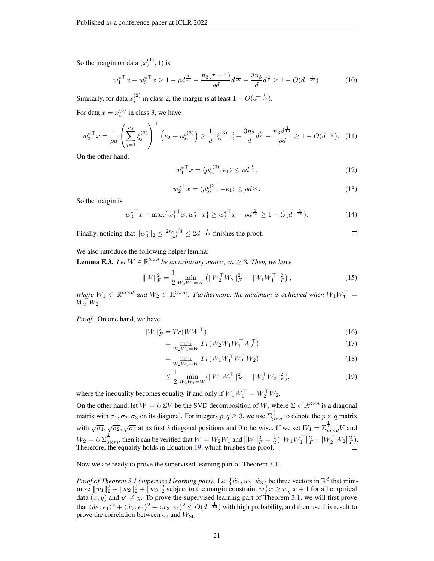So the margin on data  $(x_i^{(1)}, 1)$  is

$$
w_1^{*T}x - w_3^{*T}x \ge 1 - \rho d^{\frac{1}{10}} - \frac{n_3(\tau + 1)}{\rho d} d^{\frac{1}{10}} - \frac{3n_3}{d} d^{\frac{3}{5}} \ge 1 - O(d^{-\frac{1}{10}}). \tag{10}
$$

Similarly, for data  $x_i^{(2)}$  in class 2, the margin is at least  $1 - O(d^{-\frac{1}{10}})$ .

For data  $x = x_i^{(3)}$  in class 3, we have

$$
w_3^* \top x = \frac{1}{\rho d} \left( \sum_{j=1}^{n_3} \xi_j^{(3)} \right) \top \left( e_2 + \rho \xi_i^{(3)} \right) \ge \frac{1}{d} \|\xi_i^{(3)}\|_2^2 - \frac{3n_3}{d} d^{\frac{3}{5}} - \frac{n_3 d^{\frac{1}{10}}}{\rho d} \ge 1 - O(d^{-\frac{1}{5}}). \tag{11}
$$

On the other hand,

$$
w_1^*^{\top} x = \langle \rho \xi_i^{(3)}, e_1 \rangle \le \rho d^{\frac{1}{10}},\tag{12}
$$

$$
w_2^*^{\top} x = \langle \rho \xi_i^{(3)}, -e_1 \rangle \le \rho d^{\frac{1}{10}}.
$$
\n(13)

So the margin is

$$
w_3^* \top x - \max \{ w_1^* \top x, w_2^* \top x \} \ge w_3^* \top x - \rho d^{\frac{1}{10}} \ge 1 - O(d^{-\frac{1}{10}}). \tag{14}
$$

Finally, noticing that  $||w_3^*||_2 \le \frac{2n_3\sqrt{d}}{\rho d} \le 2d^{-\frac{1}{10}}$  finishes the proof.  $\Box$ 

We also introduce the following helper lemma:

<span id="page-20-1"></span>**Lemma E.3.** Let  $W \in \mathbb{R}^{3 \times d}$  be an arbitrary matrix,  $m \geq 3$ . Then, we have

$$
||W||_F^2 = \frac{1}{2} \min_{W_2 W_1 = W} (||W_2^\top W_2||_F^2 + ||W_1 W_1^\top||_F^2), \qquad (15)
$$

 $\mathbf{w}$ *here*  $W_1 \in \mathbb{R}^{m \times d}$  and  $W_2 \in \mathbb{R}^{3 \times m}$ . Furthermore, the minimum is achieved when  $W_1 W_1^\top =$  $W_2^\top W_2$ .

*Proof.* On one hand, we have

$$
||W||_F^2 = Tr(WW^\top)
$$
\n<sup>(16)</sup>

$$
= \min_{W_2 W_1 = W} Tr(W_2 W_1 W_1^\top W_2^\top)
$$
\n(17)

$$
= \min_{W_2 W_1 = W} Tr(W_1 W_1^\top W_2^\top W_2)
$$
\n(18)

<span id="page-20-0"></span>
$$
\leq \frac{1}{2} \min_{W_2 W_1 = W} (\|W_1 W_1^\top\|_F^2 + \|W_2^\top W_2\|_F^2),\tag{19}
$$

where the inequality becomes equality if and only if  $W_1 W_1^\top = W_2^\top W_2$ .

On the other hand, let  $W = U\Sigma V$  be the SVD decomposition of W, where  $\Sigma \in \mathbb{R}^{3 \times d}$  is a diagonal matrix with  $\sigma_1, \sigma_2, \sigma_3$  on its diagonal. For integers  $p, q \ge 3$ , we use  $\sum_{p \times q}^{\frac{1}{2}}$  to denote the  $p \times q$  matrix with  $\sqrt{\sigma_1}$ ,  $\sqrt{\sigma_2}$ ,  $\sqrt{\sigma_3}$  at its first 3 diagonal positions and 0 otherwise. If we set  $W_1 = \sum_{m=1}^{\frac{1}{2}} V$  and  $W_2 = U \Sigma_{3 \times m}^{\frac{1}{2}}$ , then it can be verified that  $W = W_2 W_1$  and  $||W||_F^2 = \frac{1}{2} (||W_1 W_1^\top||_F^2 + ||W_2^\top W_2||_F^2)$ . Therefore, the equality holds in Equation [19,](#page-20-0) which finishes the proof.

Now we are ready to prove the supervised learning part of Theorem [3.1:](#page-5-2)

*Proof of Theorem [3.1](#page-5-2) (supervised learning part).* Let  $\{\hat{w}_1, \hat{w}_2, \hat{w}_3\}$  be three vectors in  $\mathbb{R}^d$  that minimize  $||w_1||_2^2 + ||w_2||_2^2 + ||w_3||_2^2$  subject to the margin constraint  $w_y^\top x \geq w_{y'}^\top x + 1$  for all empirical data  $(x, y)$  and  $y' \neq y$ . To prove the supervised learning part of Theorem [3.1,](#page-5-2) we will first prove that  $\langle \hat{w}_1, e_1\rangle^2+\langle \hat{w}_2, e_1\rangle^2+\langle \hat{w}_3, e_1\rangle^2\leq O(d^{-\frac{1}{10}})$  with high probability, and then use this result to prove the correlation between  $e_2$  and  $W_{SL}$ .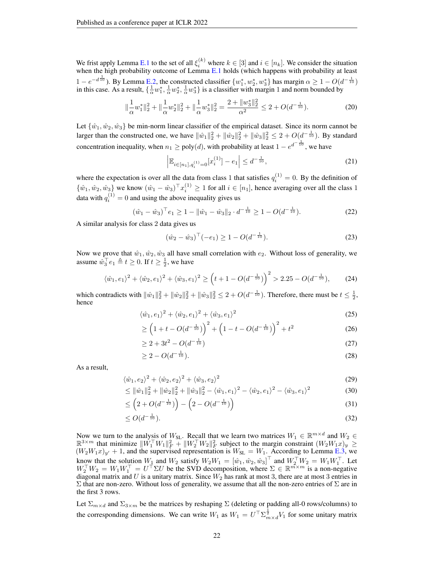We frist apply Lemma [E.1](#page-19-1) to the set of all  $\xi_i^{(k)}$  where  $k \in [3]$  and  $i \in [n_k]$ . We consider the situation when the high probability outcome of Lemma [E.1](#page-19-1) holds (which happens with probability at least  $1 - e^{-d\frac{1}{10}}$ ). By Lemma [E.2,](#page-19-2) the constructed classifier  $\{w_1^*, w_2^*, w_3^*\}$  has margin  $\alpha \ge 1 - O(d^{-\frac{1}{10}})$ in this case. As a result,  $\{\frac{1}{\alpha}w_1^*, \frac{1}{\alpha}w_2^*, \frac{1}{\alpha}w_3^*\}$  is a classifier with margin 1 and norm bounded by

$$
\|\frac{1}{\alpha}w_1^*\|_2^2 + \|\frac{1}{\alpha}w_2^*\|_2^2 + \|\frac{1}{\alpha}w_3^*\|_2^2 = \frac{2 + \|w_3^*\|_2^2}{\alpha^2} \le 2 + O(d^{-\frac{1}{10}}). \tag{20}
$$

Let  $\{\hat{w}_1, \hat{w}_2, \hat{w}_3\}$  be min-norm linear classifier of the empirical dataset. Since its norm cannot be larger than the constructed one, we have  $\|\hat{w}_1\|_2^2 + \|\hat{w}_2\|_2^2 + \|\hat{w}_3\|_2^2 \leq 2 + O(d^{-\frac{1}{10}})$ . By standard concentration inequality, when  $n_1 \geq poly(d)$ , with probability at least  $1 - e^{d^{-\frac{1}{10}}}$ , we have

$$
\left| \mathbb{E}_{i \in [n_1], q_i^{(1)} = 0} [x_i^{(1)}] - e_1 \right| \le d^{-\frac{1}{10}},\tag{21}
$$

where the expectation is over all the data from class 1 that satisfies  $q_i^{(1)} = 0$ . By the definition of  $\{\hat{w}_1, \hat{w}_2, \hat{w}_3\}$  we know  $(\hat{w}_1 - \hat{w}_3)^{\top} x_i^{(1)} \ge 1$  for all  $i \in [n_1]$ , hence averaging over all the class 1 data with  $q_i^{(1)} = 0$  and using the above inequality gives us

$$
(\hat{w}_1 - \hat{w}_3)^{\top} e_1 \ge 1 - \|\hat{w}_1 - \hat{w}_3\|_2 \cdot d^{-\frac{1}{10}} \ge 1 - O(d^{-\frac{1}{10}}). \tag{22}
$$

A similar analysis for class 2 data gives us

$$
(\hat{w}_2 - \hat{w}_3)^{\top}(-e_1) \ge 1 - O(d^{-\frac{1}{10}}). \tag{23}
$$

Now we prove that  $\hat{w}_1, \hat{w}_2, \hat{w}_3$  all have small correlation with  $e_2$ . Without loss of generality, we assume  $\hat{w}_3^{\top}e_1 \triangleq t \geq 0$ . If  $t \geq \frac{1}{2}$ , we have

$$
\langle \hat{w}_1, e_1 \rangle^2 + \langle \hat{w}_2, e_1 \rangle^2 + \langle \hat{w}_3, e_1 \rangle^2 \ge \left( t + 1 - O(d^{-\frac{1}{10}}) \right)^2 > 2.25 - O(d^{-\frac{1}{10}}), \tag{24}
$$

which contradicts with  $\|\hat{w}_1\|_2^2 + \|\hat{w}_2\|_2^2 + \|\hat{w}_3\|_2^2 \leq 2 + O(d^{-\frac{1}{10}})$ . Therefore, there must be  $t \leq \frac{1}{2}$ , hence

$$
\langle \hat{w}_1, e_1 \rangle^2 + \langle \hat{w}_2, e_1 \rangle^2 + \langle \hat{w}_3, e_1 \rangle^2 \tag{25}
$$

$$
\geq \left(1+t-O(d^{-\frac{1}{10}})\right)^2 + \left(1-t-O(d^{-\frac{1}{10}})\right)^2 + t^2
$$
\n(26)

$$
\geq 2 + 3t^2 - O(d^{-\frac{1}{10}})
$$
\n(27)

$$
\geq 2 - O(d^{-\frac{1}{10}}). \tag{28}
$$

As a result,

$$
\langle \hat{w}_1, e_2 \rangle^2 + \langle \hat{w}_2, e_2 \rangle^2 + \langle \hat{w}_3, e_2 \rangle^2 \tag{29}
$$

$$
\leq \|\hat{w}_1\|_2^2 + \|\hat{w}_2\|_2^2 + \|\hat{w}_3\|_2^2 - \langle \hat{w}_1, e_1 \rangle^2 - \langle \hat{w}_2, e_1 \rangle^2 - \langle \hat{w}_3, e_1 \rangle^2 \tag{30}
$$

$$
\leq \left(2 + O(d^{-\frac{1}{10}})\right) - \left(2 - O(d^{-\frac{1}{10}})\right) \tag{31}
$$

$$
\leq O(d^{-\frac{1}{10}}). \tag{32}
$$

Now we turn to the analysis of  $W_{\text{SL}}$ . Recall that we learn two matrices  $W_1 \in \mathbb{R}^{m \times d}$  and  $W_2 \in \mathbb{R}^{3 \times m}$  that minimize  $||W_1^\top W_1||_F^2 + ||W_2^\top W_2||_F^2$  subject to the margin constraint  $(W_2 W_1 x)_y \ge$  $(W_2W_1x)_{y'} + 1$ , and the supervised representation is  $W_{SL} = W_1$ . According to Lemma [E.3,](#page-20-1) we know that the solution  $W_1$  and  $W_2$  satisfy  $W_2 W_1 = [\hat{w}_1, \hat{w}_2, \hat{w}_3]^{\top}$  and  $W_2^{\top} W_2 = W_1 W_1^{\top}$ . Let  $W_2^\top W_2 = W_1 W_1^\top = U^\top \Sigma U$  be the SVD decomposition, where  $\Sigma \in \mathbb{R}^{m \times m}$  is a non-negative diagonal matrix and U is a unitary matrix. Since  $W_2$  has rank at most 3, there are at most 3 entries in Σ that are non-zero. Without loss of generality, we assume that all the non-zero entries of Σ are in the first 3 rows.

Let  $\Sigma_{m\times d}$  and  $\Sigma_{3\times m}$  be the matrices by reshaping  $\Sigma$  (deleting or padding all-0 rows/columns) to the corresponding dimensions. We can write  $W_1$  as  $W_1 = U^{\top} \Sigma_{m \times d}^{\frac{1}{2}} V_1$  for some unitary matrix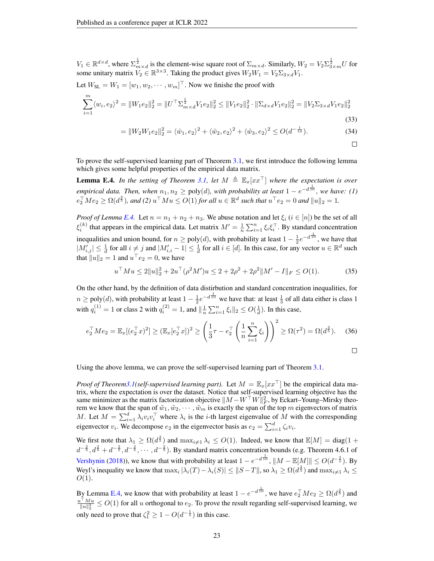$V_1 \in \mathbb{R}^{d \times d}$ , where  $\Sigma_{m \times d}^{\frac{1}{2}}$  is the element-wise square root of  $\Sigma_{m \times d}$ . Similarly,  $W_2 = V_2 \Sigma_{3 \times m}^{\frac{1}{2}} U$  for some unitary matrix  $V_2 \in \mathbb{R}^{3 \times 3}$ . Taking the product gives  $W_2 W_1 = V_2 \Sigma_{3 \times d} V_1$ .

Let  $W_{SL} = W_1 = [w_1, w_2, \dots, w_m]^\top$ . Now we finishe the proof with

$$
\sum_{i=1}^{m} \langle w_i, e_2 \rangle^2 = \|W_1 e_2\|_2^2 = \|U^\top \Sigma_{m \times d}^{\frac{1}{2}} V_1 e_2\|_2^2 \le \|V_1 e_2\|_2^2 \cdot \|\Sigma_{d \times d} V_1 e_2\|_2^2 = \|V_2 \Sigma_{3 \times d} V_1 e_2\|_2^2
$$
\n(33)

$$
= \|W_2 W_1 e_2\|_2^2 = \langle \hat{w}_1, e_2 \rangle^2 + \langle \hat{w}_2, e_2 \rangle^2 + \langle \hat{w}_3, e_2 \rangle^2 \le O(d^{-\frac{1}{10}}). \tag{34}
$$

 $\Box$ 

To prove the self-supervised learning part of Theorem [3.1,](#page-5-2) we first introduce the following lemma which gives some helpful properties of the empirical data matrix.

<span id="page-22-0"></span>**Lemma E.4.** *In the setting of Theorem [3.1,](#page-5-2) let*  $M \triangleq \mathbb{E}_x[xx^\top]$  *where the expectation is over empirical data. Then, when*  $n_1, n_2 \geq \text{poly}(d)$ , with probability at least  $1 - e^{-d\frac{1}{10}}$ , we have: (1)  $e_2^{\top}Me_2 \ge \Omega(d^{\frac{2}{5}})$ , and (2)  $u^{\top}Mu \le O(1)$  for all  $u \in \mathbb{R}^d$  such that  $u^{\top}e_2 = 0$  and  $||u||_2 = 1$ .

*Proof of Lemma [E.4.](#page-22-0)* Let  $n = n_1 + n_2 + n_3$ . We abuse notation and let  $\xi_i$  ( $i \in [n]$ ) be the set of all  $\xi_i^{(k)}$  that appears in the empirical data. Let matrix  $M' = \frac{1}{n} \sum_{i=1}^n \xi_i \xi_i^{\top}$ . By standard concentration inequalities and union bound, for  $n \geq poly(d)$ , with probability at least  $1 - \frac{1}{2}e^{-d\frac{1}{10}}$ , we have that  $|M'_{i,j}| \leq \frac{1}{d}$  for all  $i \neq j$  and  $|M'_{i,i} - 1| \leq \frac{1}{d}$  for all  $i \in [d]$ . In this case, for any vector  $u \in \mathbb{R}^d$  such that  $||u||_2 = 1$  and  $u^\top e_2 = 0$ , we have

$$
u^{\top}Mu \le 2||u||_2^2 + 2u^{\top}(\rho^2 M')u \le 2 + 2\rho^2 + 2\rho^2||M' - I||_F \le O(1). \tag{35}
$$

On the other hand, by the definition of data distirbution and standard concentration inequalities, for  $n \geq poly(d)$ , with probability at least  $1 - \frac{1}{2}e^{-d\frac{1}{10}}$  we have that: at least  $\frac{1}{3}$  of all data either is class 1 with  $q_i^{(1)} = 1$  or class 2 with  $q_i^{(2)} = 1$ , and  $\|\frac{1}{n}\sum_{i=1}^n \xi_i\|_2 \le O(\frac{1}{d})$ . In this case,

$$
e_2^{\top} M e_2 = \mathbb{E}_x [(e_2^{\top} x)^2] \ge (\mathbb{E}_x [e_2^{\top} x])^2 \ge \left(\frac{1}{3}\tau - e_2^{\top} \left(\frac{1}{n} \sum_{i=1}^n \xi_i\right)\right)^2 \ge \Omega(\tau^2) = \Omega(d^{\frac{2}{5}}). \tag{36}
$$

Using the above lemma, we can prove the self-supervised learning part of Theorem [3.1.](#page-5-2)

*Proof of Theore[m3.1\(](#page-5-2)self-supervised learning part).* Let  $M = \mathbb{E}_x[xx^\top]$  be the empirical data matrix, where the expectation is over the dataset. Notice that self-supervised learning objective has the same minimizer as the matrix factorization objective  $\|M - W^\top W\|_F^2$ , by Eckart–Young–Mirsky theorem we know that the span of  $\tilde{w}_1, \tilde{w}_2, \cdots, \tilde{w}_m$  is exactly the span of the top m eigenvectors of matrix M. Let  $M = \sum_{i=1}^d \lambda_i v_i v_i^{\top}$  where  $\lambda_i$  is the *i*-th largest eigenvalue of M with the corresponding eigenvector  $v_i$ . We decompose  $e_2$  in the eigenvector basis as  $e_2 = \sum_{i=1}^d \zeta_i v_i$ .

We first note that  $\lambda_1 \geq \Omega(d^{\frac{2}{5}})$  and  $\max_{i \neq 1} \lambda_i \leq O(1)$ . Indeed, we know that  $\mathbb{E}[M] = \text{diag}(1 +$  $d^{-\frac{2}{5}}, d^{\frac{2}{5}}+d^{-\frac{2}{5}}, d^{-\frac{2}{5}}, \cdots, d^{-\frac{2}{5}}$ ). By standard matrix concentration bounds (e.g. Theorem 4.6.1 of [Vershynin](#page-12-18) [\(2018\)](#page-12-18)), we know that with probability at least  $1 - e^{-d\frac{1}{10}}$ ,  $||M - \mathbb{E}[M]|| \le O(d^{-\frac{2}{5}})$ . By Weyl's inequality we know that  $\max_i |\lambda_i(T) - \lambda_i(S)| \leq ||S - T||$ , so  $\lambda_1 \geq \Omega(d^{\frac{2}{5}})$  and  $\max_{i \neq 1} \lambda_i \leq$  $O(1)$ .

By Lemma [E.4,](#page-22-0) we know that with probability at least  $1 - e^{-d\frac{1}{10}}$ , we have  $e_2^{\top}Me_2 \ge \Omega(d^{\frac{2}{5}})$  and  $\frac{u^{\top}Mu}{\|u\|^2_2} \leq O(1)$  for all u orthogonal to  $e_2$ . To prove the result regarding self-supervised learning, we only need to prove that  $\zeta_1^2 \geq 1 - O(d^{-\frac{1}{5}})$  in this case.